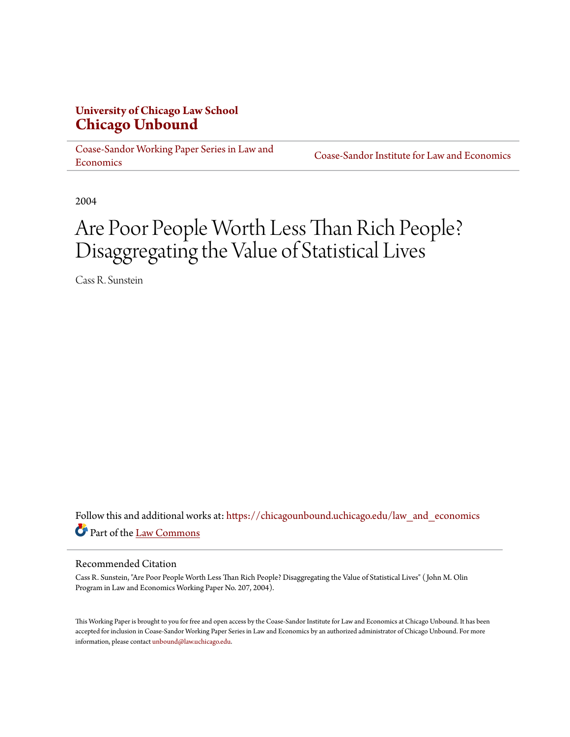# **University of Chicago Law School [Chicago Unbound](https://chicagounbound.uchicago.edu?utm_source=chicagounbound.uchicago.edu%2Flaw_and_economics%2F63&utm_medium=PDF&utm_campaign=PDFCoverPages)**

[Coase-Sandor Working Paper Series in Law and](https://chicagounbound.uchicago.edu/law_and_economics?utm_source=chicagounbound.uchicago.edu%2Flaw_and_economics%2F63&utm_medium=PDF&utm_campaign=PDFCoverPages) [Economics](https://chicagounbound.uchicago.edu/law_and_economics?utm_source=chicagounbound.uchicago.edu%2Flaw_and_economics%2F63&utm_medium=PDF&utm_campaign=PDFCoverPages)

[Coase-Sandor Institute for Law and Economics](https://chicagounbound.uchicago.edu/coase_sandor_institute?utm_source=chicagounbound.uchicago.edu%2Flaw_and_economics%2F63&utm_medium=PDF&utm_campaign=PDFCoverPages)

2004

# Are Poor People Worth Less Than Rich People? Disaggregating the Value of Statistical Lives

Cass R. Sunstein

Follow this and additional works at: [https://chicagounbound.uchicago.edu/law\\_and\\_economics](https://chicagounbound.uchicago.edu/law_and_economics?utm_source=chicagounbound.uchicago.edu%2Flaw_and_economics%2F63&utm_medium=PDF&utm_campaign=PDFCoverPages) Part of the [Law Commons](http://network.bepress.com/hgg/discipline/578?utm_source=chicagounbound.uchicago.edu%2Flaw_and_economics%2F63&utm_medium=PDF&utm_campaign=PDFCoverPages)

#### Recommended Citation

Cass R. Sunstein, "Are Poor People Worth Less Than Rich People? Disaggregating the Value of Statistical Lives" ( John M. Olin Program in Law and Economics Working Paper No. 207, 2004).

This Working Paper is brought to you for free and open access by the Coase-Sandor Institute for Law and Economics at Chicago Unbound. It has been accepted for inclusion in Coase-Sandor Working Paper Series in Law and Economics by an authorized administrator of Chicago Unbound. For more information, please contact [unbound@law.uchicago.edu.](mailto:unbound@law.uchicago.edu)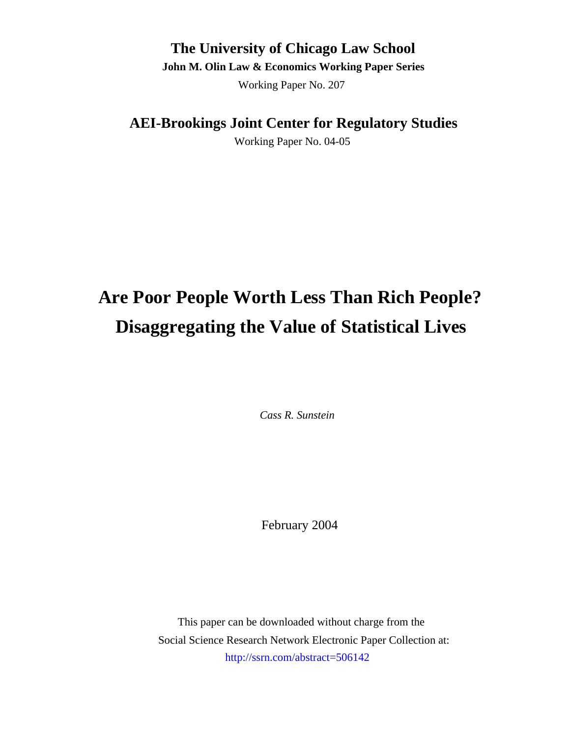# **The University of Chicago Law School**

**John M. Olin Law & Economics Working Paper Series**

Working Paper No. 207

# **AEI-Brookings Joint Center for Regulatory Studies**

Working Paper No. 04-05

# **Are Poor People Worth Less Than Rich People? Disaggregating the Value of Statistical Lives**

*Cass R. Sunstein*

February 2004

This paper can be downloaded without charge from the Social Science Research Network Electronic Paper Collection at: [http://ssrn.com/abstract=506142](http://papers.ssrn.com/abstract=283822)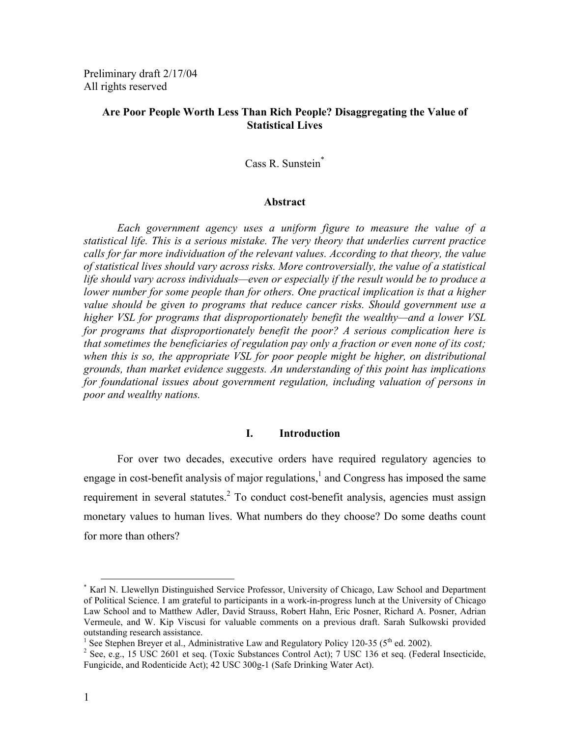Preliminary draft 2/17/04 All rights reserved

# **Are Poor People Worth Less Than Rich People? Disaggregating the Value of Statistical Lives**

Cass R. Sunstein<sup>\*</sup>

#### **Abstract**

*Each government agency uses a uniform figure to measure the value of a statistical life. This is a serious mistake. The very theory that underlies current practice calls for far more individuation of the relevant values. According to that theory, the value of statistical lives should vary across risks. More controversially, the value of a statistical life should vary across individuals—even or especially if the result would be to produce a lower number for some people than for others. One practical implication is that a higher*  value should be given to programs that reduce cancer risks. Should government use a *higher VSL for programs that disproportionately benefit the wealthy—and a lower VSL for programs that disproportionately benefit the poor? A serious complication here is that sometimes the beneficiaries of regulation pay only a fraction or even none of its cost; when this is so, the appropriate VSL for poor people might be higher, on distributional grounds, than market evidence suggests. An understanding of this point has implications for foundational issues about government regulation, including valuation of persons in poor and wealthy nations.* 

#### **I. Introduction**

For over two decades, executive orders have required regulatory agencies to engage in cost-benefit analysis of major regulations,<sup>1</sup> and Congress has imposed the same requirement in several statutes. $2$  To conduct cost-benefit analysis, agencies must assign monetary values to human lives. What numbers do they choose? Do some deaths count for more than others?

<span id="page-2-0"></span><sup>\*&</sup>lt;br>
Karl N. Llewellyn Distinguished Service Professor, University of Chicago, Law School and Department of Political Science. I am grateful to participants in a work-in-progress lunch at the University of Chicago Law School and to Matthew Adler, David Strauss, Robert Hahn, Eric Posner, Richard A. Posner, Adrian Vermeule, and W. Kip Viscusi for valuable comments on a previous draft. Sarah Sulkowski provided outstanding research assistance.

<span id="page-2-1"></span><sup>&</sup>lt;sup>1</sup> See Stephen Breyer et al., Administrative Law and Regulatory Policy 120-35 (5<sup>th</sup> ed. 2002).

<span id="page-2-2"></span><sup>&</sup>lt;sup>2</sup> See, e.g., 15 USC 2601 et seq. (Toxic Substances Control Act); 7 USC 136 et seq. (Federal Insecticide, Fungicide, and Rodenticide Act); 42 USC 300g-1 (Safe Drinking Water Act).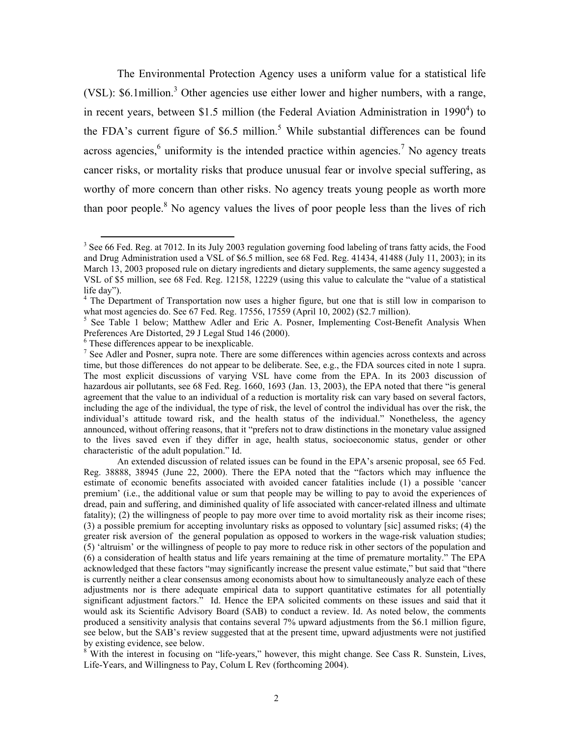The Environmental Protection Agency uses a uniform value for a statistical life (VSL): \$6.1 million.<sup>[3](#page-3-0)</sup> Other agencies use either lower and higher numbers, with a range, in recent years, between \$1.5 million (the Federal Aviation Administration in 1990 $^{4}$  $^{4}$  $^{4}$ ) to theFDA's current figure of \$6.5 million.<sup>5</sup> While substantial differences can be found across agencies,  $6$  uniformity is the intended practice within agencies.<sup>[7](#page-3-4)</sup> No agency treats cancer risks, or mortality risks that produce unusual fear or involve special suffering, as worthy of more concern than other risks. No agency treats young people as worth more than poor people. $8$  No agency values the lives of poor people less than the lives of rich

<span id="page-3-0"></span><sup>&</sup>lt;sup>3</sup> See 66 Fed. Reg. at 7012. In its July 2003 regulation governing food labeling of trans fatty acids, the Food and Drug Administration used a VSL of \$6.5 million, see 68 Fed. Reg. 41434, 41488 (July 11, 2003); in its March 13, 2003 proposed rule on dietary ingredients and dietary supplements, the same agency suggested a VSL of \$5 million, see 68 Fed. Reg. 12158, 12229 (using this value to calculate the "value of a statistical life day").

<span id="page-3-1"></span><sup>&</sup>lt;sup>4</sup> The Department of Transportation now uses a higher figure, but one that is still low in comparison to what most agencies do. See 67 Fed. Reg. 17556, 17559 (April 10, 2002) (\$2.7 million).<br><sup>5</sup> See Table 1 below; Matthew Adler and Eric A. Posner, Implementing Cost-Benefit Analysis When

<span id="page-3-2"></span>Preferences Are Distorted, 29 J Legal Stud 146 (2000).

<span id="page-3-3"></span><sup>&</sup>lt;sup>6</sup> These differences appear to be inexplicable.

<span id="page-3-4"></span><sup>&</sup>lt;sup>7</sup> See Adler and Posner, supra note. There are some differences within agencies across contexts and across time, but those differences do not appear to be deliberate. See, e.g., the FDA sources cited in note 1 supra. The most explicit discussions of varying VSL have come from the EPA. In its 2003 discussion of hazardous air pollutants, see 68 Fed. Reg. 1660, 1693 (Jan. 13, 2003), the EPA noted that there "is general agreement that the value to an individual of a reduction is mortality risk can vary based on several factors, including the age of the individual, the type of risk, the level of control the individual has over the risk, the individual's attitude toward risk, and the health status of the individual." Nonetheless, the agency announced, without offering reasons, that it "prefers not to draw distinctions in the monetary value assigned to the lives saved even if they differ in age, health status, socioeconomic status, gender or other characteristic of the adult population." Id.

<sup>(3)</sup> a possible premium for accepting involuntary risks as opposed to voluntary [sic] assumed risks; (4) the greater risk aversion of the general population as opposed to workers in the wage-risk valuation studies; (5) 'altruism' or the willingness of people to pay more to reduce risk in other sectors of the population and ) a consideration of health status and life years remaining at the time of premature mortality." The EPA (6 acknowledged that these factors "may significantly increase the present value estimate," but said that "there is currently neither a clear consensus among economists about how to simultaneously analyze each of these see below, but the SAB's review suggested that at the present time, upward adjustments were not justified An extended discussion of related issues can be found in the EPA's arsenic proposal, see 65 Fed. Reg. 38888, 38945 (June 22, 2000). There the EPA noted that the "factors which may influence the estimate of economic benefits associated with avoided cancer fatalities include (1) a possible 'cancer premium' (i.e., the additional value or sum that people may be willing to pay to avoid the experiences of dread, pain and suffering, and diminished quality of life associated with cancer-related illness and ultimate fatality); (2) the willingness of people to pay more over time to avoid mortality risk as their income rises; adjustments nor is there adequate empirical data to support quantitative estimates for all potentially significant adjustment factors." Id. Hence the EPA solicited comments on these issues and said that it would ask its Scientific Advisory Board (SAB) to conduct a review. Id. As noted below, the comments produced a sensitivity analysis that contains several 7% upward adjustments from the \$6.1 million figure, by existing evidence, see below.

<span id="page-3-5"></span><sup>&</sup>lt;sup>8</sup> With the interest in focusing on "life-years," however, this might change. See Cass R. Sunstein, Lives, Life-Years, and Willingness to Pay, Colum L Rev (forthcoming 2004).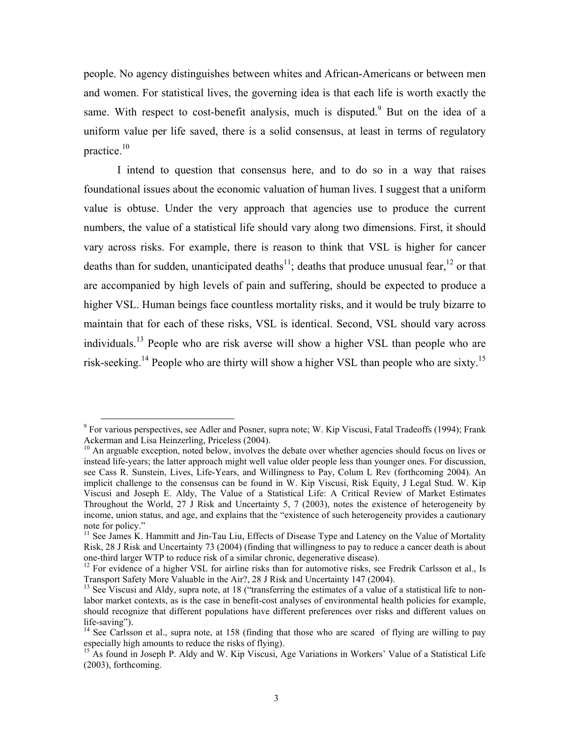people . No agency distinguishes between whites and African-Americans or between men and women. For statistical lives, the governing idea is that each life is worth exactly the same. With respect to cost-benefit analysis, much is disputed.<sup>[9](#page-4-0)</sup> But on the idea of a uniform value per life saved, there is a solid consensus, at least in terms of regulatory practice[.10](#page-4-1)

numbers, the value of a statistical life should vary along two dimensions. First, it should individuals.<sup>13</sup> People who are risk averse will show a higher VSL than people who are I intend to question that consensus here, and to do so in a way that raises foundational issues about the economic valuation of human lives. I suggest that a uniform value is obtuse. Under the very approach that agencies use to produce the current vary across risks. For example, there is reason to think that VSL is higher for cancer deaths than for sudden, unanticipated deaths<sup>11</sup>; deaths that produce unusual fear,<sup>12</sup> or that are accompanied by high levels of pain and suffering, should be expected to produce a higher VSL. Human beings face countless mortality risks, and it would be truly bizarre to maintain that for each of these risks, VSL is identical. Second, VSL should vary across risk-seeking.<sup>14</sup> People who are thirty will show a higher VSL than people who are sixty.<sup>15</sup>

<span id="page-4-0"></span> $9$  For various perspectives, see Adler and Posner, supra note; W. Kip Viscusi, Fatal Tradeoffs (1994); Frank Ackerman and Lisa Heinzerling, Priceless (2004).

<span id="page-4-1"></span> $^{10}$  An arguable exception, noted below, involves the debate over whether agencies should focus on lives or instead l ife-years; the latter approach might well value older people less than younger ones. For discussion, see Cass R. Sunstein, Lives, Life-Years, and Willingness to Pay, Colum L Rev (forthcoming 2004). An implicit challenge to the consensus can be found in W. Kip Viscusi, Risk Equity, J Legal Stud. W. Kip Viscusi and Joseph E. Aldy, The Value of a Statistical Life: A Critical Review of Market Estimates Throughout the World, 27 J Risk and Uncertainty 5, 7 (2003), notes the existence of heterogeneity by income, union status, and age, and explains that the "existence of such heterogeneity provides a cautionary

<span id="page-4-2"></span><sup>&</sup>lt;sup>11</sup> See James K. Hammitt and Jin-Tau Liu, Effects of Disease Type and Latency on the Value of Mortality Risk, 28 J Risk and Uncertainty 73 (2004) (finding that willingness to pay to reduce a cancer death is about

<span id="page-4-3"></span>one-third larger WTP to reduce risk of a similar chronic, degenerative disease).<br><sup>12</sup> For evidence of a higher VSL for airline risks than for automotive risks, see Fredrik Carlsson et al., Is<br>Transport Safety More Valuabl

<span id="page-4-4"></span><sup>&</sup>lt;sup>13</sup> See Viscusi and Aldy, supra note, at 18 ("transferring the estimates of a value of a statistical life to nonlabor market contexts, as is the case in benefit-cost analyses of environmental health policies for example, should recognize that different populations have different preferences over risks and different values on life-saving").<br><sup>14</sup> See Carlsson et al., supra note, at 158 (finding that those who are scared of flying are willing to pay

<span id="page-4-5"></span>especially high amounts to reduce the risks of flying).

<span id="page-4-6"></span><sup>&</sup>lt;sup>15</sup> As found in Joseph P. Aldy and W. Kip Viscusi, Age Variations in Workers' Value of a Statistical Life (2003), forthcoming.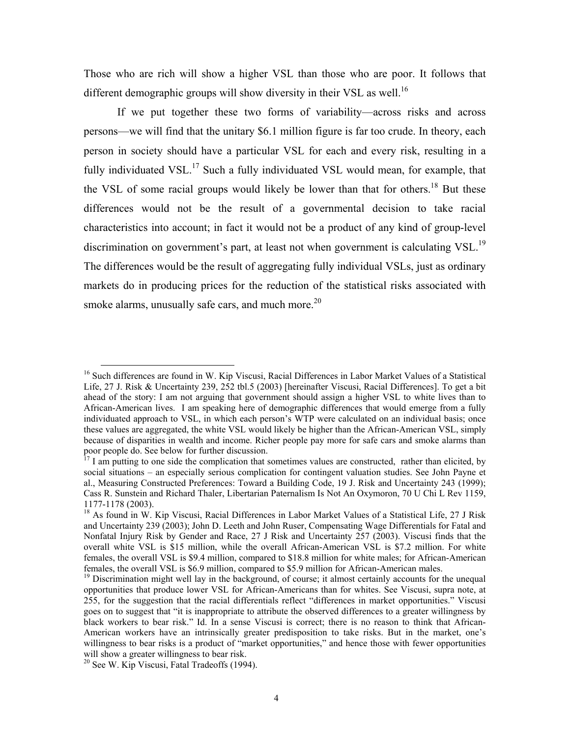Those who are rich will show a higher VSL than those who are poor. It follows that different demographic groups will show diversity in their VSL as well.<sup>[16](#page-5-0)</sup>

If we put together these two forms of variability—across risks and across persons—we will find that the unitary \$6.1 million figure is far too crude. In theory, each person in society should have a particular VSL for each and every risk, resulting in a fully individuated VSL.<sup>17</sup> Such a fully individuated VSL would mean, for example, that the VSL of some racial groups would likely be lower than that for others.<sup>18</sup> But these differences would not be the result of a governmental decision to take racial characteristics into account; in fact it would not be a product of any kind of group-level discrimination on government's part, at least not when government is calculating VSL.<sup>19</sup> The differences would be the result of aggregating fully individual VSLs, just as ordinary markets do in producing prices for the reduction of the statistical risks associated with smoke alarms, unusually safe cars, and much more. $20$ 

<span id="page-5-0"></span><sup>&</sup>lt;sup>16</sup> Such differences are found in W. Kip Viscusi, Racial Differences in Labor Market Values of a Statistical Life, 27 J. Risk & Uncertainty 239, 252 tbl.5 (2003) [hereinafter Viscusi, Racial Differences]. To get a bit ahead of the story: I am not arguing that government should assign a higher VSL to white lives than to African-American lives. I am speaking here of demographic differences that would emerge from a fully individuated approach to VSL, in which each person's WTP were calculated on an individual basis; once because of disparities in wealth and income. Richer people pay more for safe cars and smoke alarms than these values are aggregated, the white VSL would likely be higher than the African-American VSL, simply poor people do. See below for further discussion.<br><sup>17</sup> I am putting to one side the complication that sometimes values are constructed, rather than elicited, by

<span id="page-5-1"></span>social situations – an especially serious complication for contingent valuation studies. See John Payne et al., Measuring Constructed Preferences: Toward a Building Code, 19 J. Risk and Uncertainty 243 (1999); Cass R. Sunstein and Richard Thaler, Libertarian Paternalism Is Not An Oxymoron, 70 U Chi L Rev 1159, 1177-1178 (2003).

<span id="page-5-2"></span>and Uncertainty 239 (2003); John D. Leeth and John Ruser, Compensating Wage Differentials for Fatal and females, the overall VSL is \$9.4 million, compared to \$18.8 million for white males; for African-American <sup>18</sup> As found in W. Kip Viscusi, Racial Differences in Labor Market Values of a Statistical Life, 27 J Risk Nonfatal Injury Risk by Gender and Race, 27 J Risk and Uncertainty 257 (2003). Viscusi finds that the overall white VSL is \$15 million, while the overall African-American VSL is \$7.2 million. For white

<span id="page-5-3"></span>females, the overall VSL is \$6.9 million, compared to \$5.9 million for African-American males.<br><sup>19</sup> Discrimination might well lay in the background, of course; it almost certainly accounts for the unequal black workers to bear risk." Id. In a sense Viscusi is correct; there is no reason to think that Africanwillingness to bear risks is a product of "market opportunities," and hence those with fewer opportunities opportunities that produce lower VSL for African-Americans than for whites. See Viscusi, supra note, at 255, for the suggestion that the racial differentials reflect "differences in market opportunities." Viscusi goes on to suggest that "it is inappropriate to attribute the observed differences to a greater willingness by American workers have an intrinsically greater predisposition to take risks. But in the market, one's will show a greater willingness to bear risk.

<span id="page-5-4"></span> $20$  See W. Kip Viscusi, Fatal Tradeoffs (1994).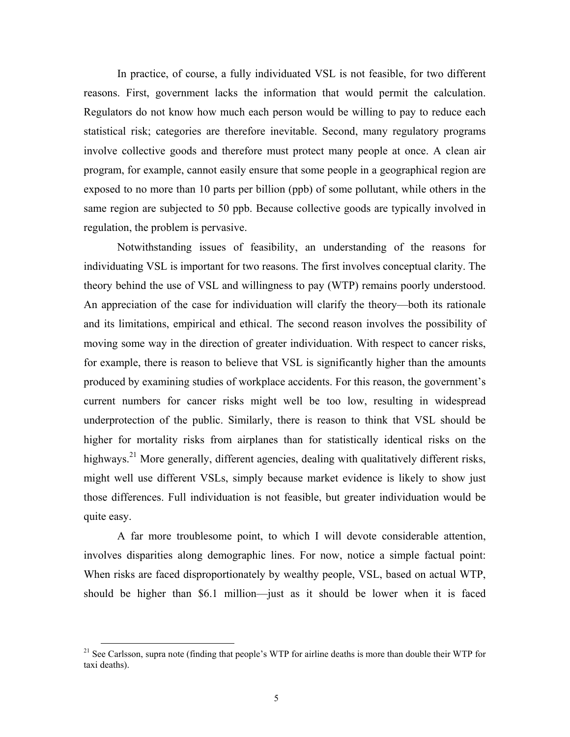In practice, of course, a fully individuated VSL is not feasible, for two different reasons. First, government lacks the information that would permit the calculation. Regula tors do not know how much each person would be willing to pay to reduce each statistical risk; categories are therefore inevitable. Second, many regulatory programs involve collective goods and therefore must protect many people at once. A clean air program, for example, cannot easily ensure that some people in a geographical region are exposed to no more than 10 parts per billion (ppb) of some pollutant, while others in the same region are subjected to 50 ppb. Because collective goods are typically involved in regulation, the problem is pervasive.

An appreciation of the case for individuation will clarify the theory—both its rationale and its limitations, empirical and ethical. The second reason involves the possibility of moving some way in the direction of greater individuation. With respect to cancer risks, for example, there is reason to believe that VSL is significantly higher than the amounts Notwithstanding issues of feasibility, an understanding of the reasons for individuating VSL is important for two reasons. The first involves conceptual clarity. The theory behind the use of VSL and willingness to pay (WTP) remains poorly understood. produced by examining studies of workplace accidents. For this reason, the government's current numbers for cancer risks might well be too low, resulting in widespread underprotection of the public. Similarly, there is reason to think that VSL should be higher for mortality risks from airplanes than for statistically identical risks on the highways.<sup>21</sup> More generally, different agencies, dealing with qualitatively different risks, might well use different VSLs, simply because market evidence is likely to show just those differences. Full individuation is not feasible, but greater individuation would be quite easy.

A far more troublesome point, to which I will devote considerable attention, involves disparities along demographic lines. For now, notice a simple factual point: When risks are faced disproportionately by wealthy people, VSL, based on actual WTP, should be higher than \$6.1 million—just as it should be lower when it is faced

<span id="page-6-0"></span><sup>&</sup>lt;sup>21</sup> See Carlsson, supra note (finding that people's WTP for airline deaths is more than double their WTP for taxi deaths).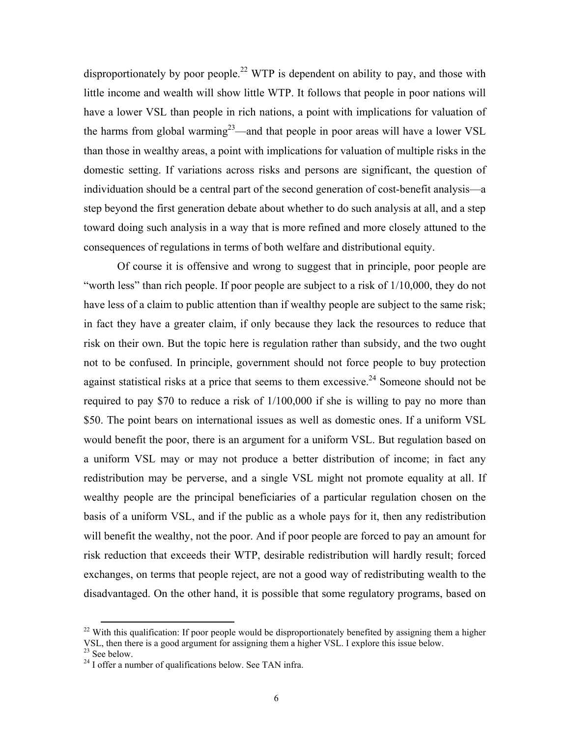disproportionately by poor people.<sup>22</sup> WTP is dependent on ability to pay, and those with little income and wealth will show little WTP. It follows that people in poor nations will have a lower VSL than people in rich nations, a point with implications for valuation of the harms from global warming<sup>23</sup>—and that people in poor areas will have a lower VSL than those in wealthy areas, a point with implications for valuation of multiple risks in the domestic setting. If variations across risks and persons are significant, the question of individuation should be a central part of the second generation of cost-benefit analysis—a step beyond the first generation debate about whether to do such analysis at all, and a step toward doing such analysis in a way that is more refined and more closely attuned to the conseq uences of regulations in terms of both welfare and distributional equity.

basis of a uniform VSL, and if the public as a whole pays for it, then any redistribution will be nefit the wealthy, not the poor. And if poor people are forced to pay an amount for Of course it is offensive and wrong to suggest that in principle, poor people are "worth less" than rich people. If poor people are subject to a risk of 1/10,000, they do not have less of a claim to public attention than if wealthy people are subject to the same risk; in fact they have a greater claim, if only because they lack the resources to reduce that risk on their own. But the topic here is regulation rather than subsidy, and the two ought not to be confused. In principle, government should not force people to buy protection against statistical risks at a price that seems to them excessive.<sup>24</sup> Someone should not be required to pay \$70 to reduce a risk of 1/100,000 if she is willing to pay no more than \$50. The point bears on international issues as well as domestic ones. If a uniform VSL would benefit the poor, there is an argument for a uniform VSL. But regulation based on a uniform VSL may or may not produce a better distribution of income; in fact any redistribution may be perverse, and a single VSL might not promote equality at all. If wealthy people are the principal beneficiaries of a particular regulation chosen on the risk reduction that exceeds their WTP, desirable redistribution will hardly result; forced exchanges, on terms that people reject, are not a good way of redistributing wealth to the disadvantaged. On the other hand, it is possible that some regulatory programs, based on

<span id="page-7-0"></span><sup>&</sup>lt;sup>22</sup> With this qualification: If poor people would be disproportionately benefited by assigning them a higher VSL, then there is a good argument for assigning them a higher VSL. I explore this issue below.

<span id="page-7-1"></span><sup>23</sup> See below.

<span id="page-7-2"></span> $2<sup>4</sup>$  I offer a number of qualifications below. See TAN infra.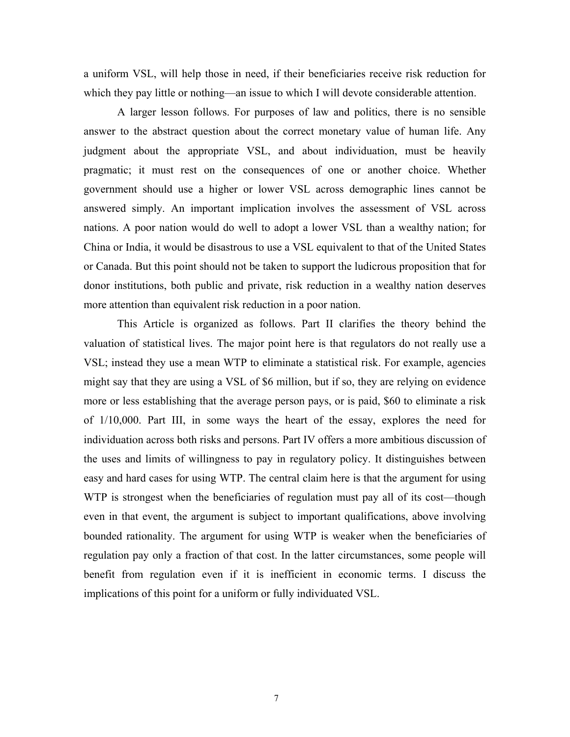a uniform VSL, will help those in need, if their beneficiaries receive risk reduction for which they pay little or nothing—an issue to which I will devote considerable attention.

A larger lesson follows. For purposes of law and politics, there is no sensible answer to the abstract question about the correct monetary value of human life. Any judgment about the appropriate VSL, and about individuation, must be heavily pragmatic; it must rest on the consequences of one or another choice. Whether government should use a higher or lower VSL across demographic lines cannot be answered simply. An important implication involves the assessment of VSL across nations. A poor nation would do well to adopt a lower VSL than a wealthy nation; for China or India, it would be disastrous to use a VSL equivalent to that of the United States or Canada. But this point should not be taken to support the ludicrous proposition that for donor institutions, both public and private, risk reduction in a wealthy nation deserves more attention than equivalent risk reduction in a poor nation.

This Article is organized as follows. Part II clarifies the theory behind the valuation of statistical lives. The major point here is that regulators do not really use a VSL; instead they use a mean WTP to eliminate a statistical risk. For example, agencies might say that they are using a VSL of \$6 million, but if so, they are relying on evidence more or less establishing that the average person pays, or is paid, \$60 to eliminate a risk of 1/10,000. Part III, in some ways the heart of the essay, explores the need for individuation across both risks and persons. Part IV offers a more ambitious discussion of the uses and limits of willingness to pay in regulatory policy. It distinguishes between easy and hard cases for using WTP. The central claim here is that the argument for using WTP is strongest when the beneficiaries of regulation must pay all of its cost—though even in that event, the argument is subject to important qualifications, above involving bounded rationality. The argument for using WTP is weaker when the beneficiaries of regulation pay only a fraction of that cost. In the latter circumstances, some people will benefit from regulation even if it is inefficient in economic terms. I discuss the implications of this point for a uniform or fully individuated VSL.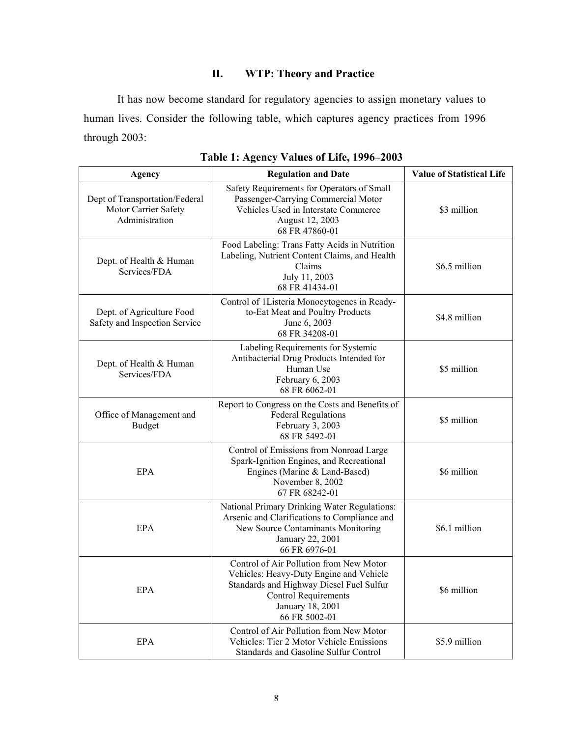# **II. WTP: Theory and Practice**

It has now become standard for regulatory agencies to assign monetary values to human lives. Consider the following table, which captures agency practices from 1996 through 2003:

| Agency                                                                   | <b>Regulation and Date</b>                                                                                                                                                                         | <b>Value of Statistical Life</b> |
|--------------------------------------------------------------------------|----------------------------------------------------------------------------------------------------------------------------------------------------------------------------------------------------|----------------------------------|
| Dept of Transportation/Federal<br>Motor Carrier Safety<br>Administration | Safety Requirements for Operators of Small<br>Passenger-Carrying Commercial Motor<br>Vehicles Used in Interstate Commerce<br>August 12, 2003<br>68 FR 47860-01                                     | \$3 million                      |
| Dept. of Health & Human<br>Services/FDA                                  | Food Labeling: Trans Fatty Acids in Nutrition<br>Labeling, Nutrient Content Claims, and Health<br>Claims<br>July 11, 2003<br>68 FR 41434-01                                                        | \$6.5 million                    |
| Dept. of Agriculture Food<br>Safety and Inspection Service               | Control of 1Listeria Monocytogenes in Ready-<br>to-Eat Meat and Poultry Products<br>June 6, 2003<br>68 FR 34208-01                                                                                 | \$4.8 million                    |
| Dept. of Health & Human<br>Services/FDA                                  | Labeling Requirements for Systemic<br>Antibacterial Drug Products Intended for<br>Human Use<br>February 6, 2003<br>68 FR 6062-01                                                                   | \$5 million                      |
| Office of Management and<br><b>Budget</b>                                | Report to Congress on the Costs and Benefits of<br><b>Federal Regulations</b><br>February 3, 2003<br>68 FR 5492-01                                                                                 | \$5 million                      |
| <b>EPA</b>                                                               | Control of Emissions from Nonroad Large<br>Spark-Ignition Engines, and Recreational<br>Engines (Marine & Land-Based)<br>November 8, 2002<br>67 FR 68242-01                                         | \$6 million                      |
| <b>EPA</b>                                                               | National Primary Drinking Water Regulations:<br>Arsenic and Clarifications to Compliance and<br>New Source Contaminants Monitoring<br>January 22, 2001<br>66 FR 6976-01                            | \$6.1 million                    |
| EPA                                                                      | Control of Air Pollution from New Motor<br>Vehicles: Heavy-Duty Engine and Vehicle<br>Standards and Highway Diesel Fuel Sulfur<br><b>Control Requirements</b><br>January 18, 2001<br>66 FR 5002-01 | \$6 million                      |
| <b>EPA</b>                                                               | Control of Air Pollution from New Motor<br>Vehicles: Tier 2 Motor Vehicle Emissions<br>Standards and Gasoline Sulfur Control                                                                       | \$5.9 million                    |

**Table 1: Agency Values of Life, 1996–2003**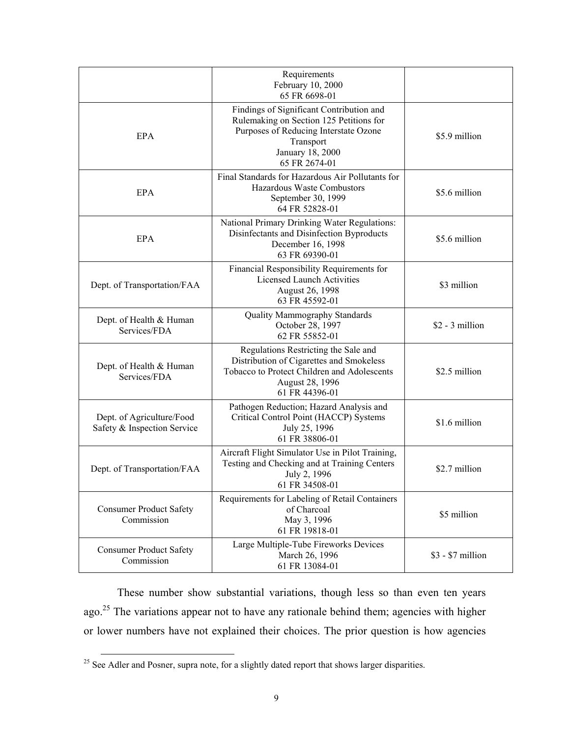|                                                          | Requirements<br>February 10, 2000<br>65 FR 6698-01                                                                                                                             |                   |
|----------------------------------------------------------|--------------------------------------------------------------------------------------------------------------------------------------------------------------------------------|-------------------|
| <b>EPA</b>                                               | Findings of Significant Contribution and<br>Rulemaking on Section 125 Petitions for<br>Purposes of Reducing Interstate Ozone<br>Transport<br>January 18, 2000<br>65 FR 2674-01 | \$5.9 million     |
| <b>EPA</b>                                               | Final Standards for Hazardous Air Pollutants for<br>Hazardous Waste Combustors<br>September 30, 1999<br>64 FR 52828-01                                                         | \$5.6 million     |
| <b>EPA</b>                                               | National Primary Drinking Water Regulations:<br>Disinfectants and Disinfection Byproducts<br>December 16, 1998<br>63 FR 69390-01                                               | \$5.6 million     |
| Dept. of Transportation/FAA                              | Financial Responsibility Requirements for<br><b>Licensed Launch Activities</b><br>August 26, 1998<br>63 FR 45592-01                                                            | \$3 million       |
| Dept. of Health & Human<br>Services/FDA                  | Quality Mammography Standards<br>October 28, 1997<br>62 FR 55852-01                                                                                                            | $$2 - 3$ million  |
| Dept. of Health & Human<br>Services/FDA                  | Regulations Restricting the Sale and<br>Distribution of Cigarettes and Smokeless<br>Tobacco to Protect Children and Adolescents<br>August 28, 1996<br>61 FR 44396-01           | \$2.5 million     |
| Dept. of Agriculture/Food<br>Safety & Inspection Service | Pathogen Reduction; Hazard Analysis and<br>Critical Control Point (HACCP) Systems<br>July 25, 1996<br>61 FR 38806-01                                                           | \$1.6 million     |
| Dept. of Transportation/FAA                              | Aircraft Flight Simulator Use in Pilot Training,<br>Testing and Checking and at Training Centers<br>July 2, 1996<br>61 FR 34508-01                                             | \$2.7 million     |
| <b>Consumer Product Safety</b><br>Commission             | Requirements for Labeling of Retail Containers<br>of Charcoal<br>May 3, 1996<br>61 FR 19818-01                                                                                 | \$5 million       |
| <b>Consumer Product Safety</b><br>Commission             | Large Multiple-Tube Fireworks Devices<br>March 26, 1996<br>61 FR 13084-01                                                                                                      | $$3 - $7$ million |

These number show substantial variations, though less so than even ten years ago.<sup>[25](#page-10-0)</sup> The variations appear not to have any rationale behind them; agencies with higher or lower numbers have not explained their choices. The prior question is how agencies

<span id="page-10-0"></span> $25$  See Adler and Posner, supra note, for a slightly dated report that shows larger disparities.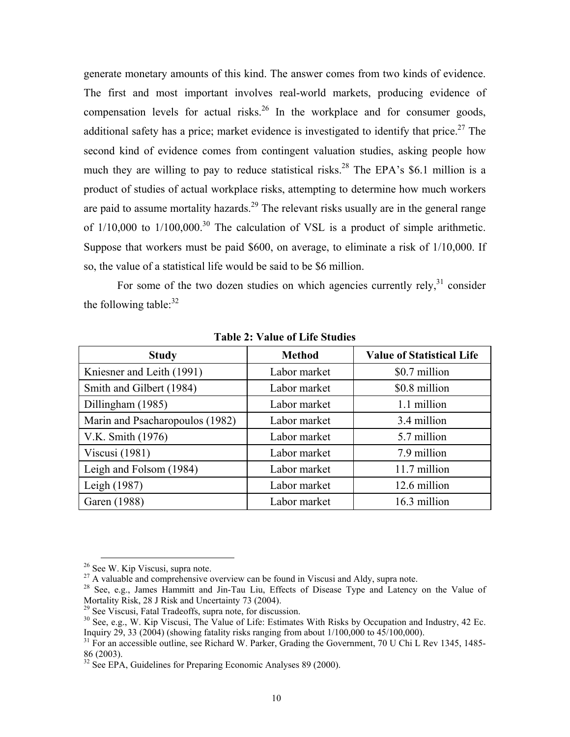generate monetary amounts of this kind. The answer comes from two kinds of evidence. The first and most important involves real-world markets, producing evidence of compensation levels for actual risks.<sup>[26](#page-11-0)</sup> In the workplace and for consumer goods, additional safety has a price; market evidence is investigated to identify that price.<sup>[27](#page-11-1)</sup> The second kind of evidence comes from contingent valuation studies, asking people how much they are willing to pay to reduce statistical risks.<sup>28</sup> The EPA's \$6.1 million is a product of studies of actual workplace risks, attempting to determine how much workers are paid to assume mortality hazards.<sup>29</sup> The relevant risks usually are in the general range of  $1/10,000$  to  $1/100,000$ .<sup>30</sup> The calculation of VSL is a product of simple arithmetic. Suppose that workers must be paid  $$600$ , on average, to eliminate a risk of  $1/10,000$ . If so, the value of a statistical life w ould be said to be \$6 million.

For some of the two dozen studies on which agencies currently rely,  $31$  $31$  consider the following table: $32$ 

| <b>Study</b>                    | <b>Method</b> | <b>Value of Statistical Life</b> |
|---------------------------------|---------------|----------------------------------|
| Kniesner and Leith (1991)       | Labor market  | \$0.7 million                    |
| Smith and Gilbert (1984)        | Labor market  | \$0.8 million                    |
| Dillingham (1985)               | Labor market  | 1.1 million                      |
| Marin and Psacharopoulos (1982) | Labor market  | 3.4 million                      |
| V.K. Smith (1976)               | Labor market  | 5.7 million                      |
| Viscusi $(1981)$                | Labor market  | 7.9 million                      |
| Leigh and Folsom (1984)         | Labor market  | 11.7 million                     |
| Leigh (1987)                    | Labor market  | 12.6 million                     |
| Garen (1988)                    | Labor market  | 16.3 million                     |

**Table 2: Value of Life Studies** 

<span id="page-11-1"></span><span id="page-11-0"></span>

<sup>&</sup>lt;sup>26</sup> See W. Kip Viscusi, supra note.<br><sup>27</sup> A valuable and comprehensive overview can be found in Viscusi and Aldy, supra note.<br><sup>28</sup> See, e.g., James Hammitt and Jin-Tau Liu, Effects of Disease Type and Latency ab

<span id="page-11-2"></span>Mortality Risk, 28 J Risk and Uncertainty 73 (2004). <sup>28</sup> See, e.g., James Hammitt and Jin-Tau Liu, Effects of Disease Type and Latency on the Value of

<span id="page-11-3"></span> $29$  See Viscusi, Fatal Tradeoffs, supra note, for discussion.

<span id="page-11-4"></span> $30$  See, e.g., W. Kip Viscusi, The Value of Life: Estimates With Risks by Occupation and Industry, 42 Ec. Inquiry 29, 33 (2004) (showing fatality risks ranging from about 1/100,000 to 45/100,000).

<span id="page-11-5"></span><sup>&</sup>lt;sup>31</sup> For an accessible outline, see Richard W. Parker, Grading the Government, 70 U Chi L Rev 1345, 1485-86 (2003).

<span id="page-11-6"></span> $32$  See EPA, Guidelines for Preparing Economic Analyses 89 (2000).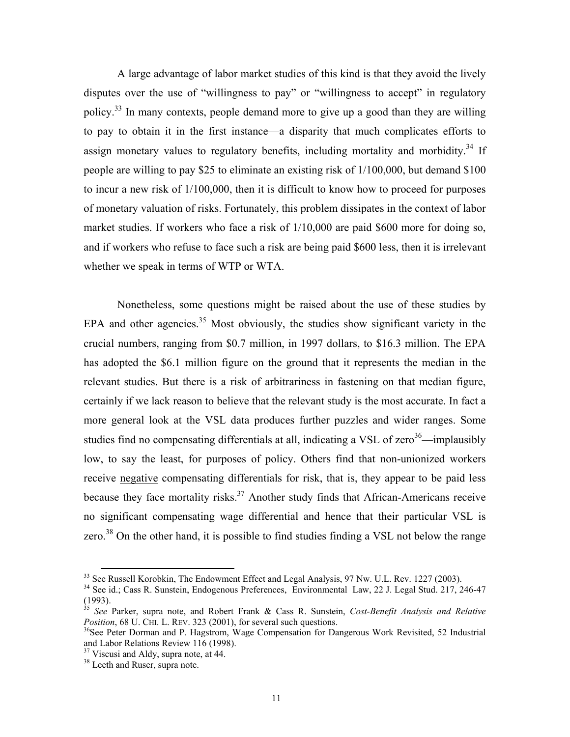A large advantage of labor market studies of this kind is that they avoid the lively disputes over the use of "willingness to pay" or "willingness to accept" in regulatory policy.[33](#page-12-0) In many contexts, people demand more to give up a good than they are willing to pay to obtain it in the first instance—a disparity that much complicates efforts to assign monetary values to regulatory benefits, including mortality and morbidity.<sup>34</sup> If people are willing to pay \$25 to eliminate an existing risk of 1/100,000, but demand \$100 to incur a new risk of 1/100,000, then it is difficult to know how to proceed for purposes of monetary valuation of risks. Fortunately, this problem dissipates in the context of labor market studies. If workers who face a risk of 1/10,000 are paid \$600 more for doing so, and if workers who refuse to face such a risk are being paid \$600 less, then it is irrelevant whether we speak in terms of WTP or WTA.

Nonetheless, some questions might be raised about the use of these studies by EPA and other agencies.<sup>35</sup> Most obviously, the studies show significant variety in the crucial numbers, ranging from \$0.7 million, in 1997 dollars, to \$16.3 million. The EPA has adopted the \$6.1 million figure on the ground that it represents the median in the relevant studies. But there is a risk of arbitrariness in fastening on that median figure, certainly if we lack reason to believe that the relevant study is the most accurate. In fact a more general look at the VSL data produces further puzzles and wider ranges. Some studies find no compensating differentials at all, indicating a VSL of zero<sup>36</sup>—implausibly low, to say the least, for purposes of policy. Others find that non-unionized workers receive negative compensating differentials for risk, that is, they appear to be paid less because they face mortality risks.<sup>[37](#page-12-4)</sup> Another study finds that African-Americans receive no significant compensating wage differential and hence that their particular VSL is zero.<sup>38</sup> On the other hand, it is possible to find studies finding a VSL not below the range

<span id="page-12-0"></span><sup>&</sup>lt;sup>33</sup> See Russell Korobkin, The Endowment Effect and Legal Analysis, 97 Nw. U.L. Rev. 1227 (2003).

<span id="page-12-1"></span><sup>&</sup>lt;sup>34</sup> See id.; Cass R. Sunstein, Endogenous Preferences, Environmental Law, 22 J. Legal Stud. 217, 246-47 (1993).

<span id="page-12-2"></span><sup>&</sup>lt;sup>35</sup> See Parker, supra note, and Robert Frank & Cass R. Sunstein, Cost-Benefit Analysis and Relative *Position*, 68 U. CHI. L. REV. 323 (2001), for several such questions.<br><sup>36</sup>See Peter Dorman and P. Hagstrom, Wage Compensation for Dangerous Work Revisited, 52 Industrial

<span id="page-12-3"></span>and Labor Relations Review 116 (1998).<br><sup>37</sup> Viscusi and Aldy, supra note, at 44.<br><sup>38</sup> Leeth and Ruser, supra note.

<span id="page-12-4"></span>nd Aldy, supra note, at 44.

<span id="page-12-5"></span>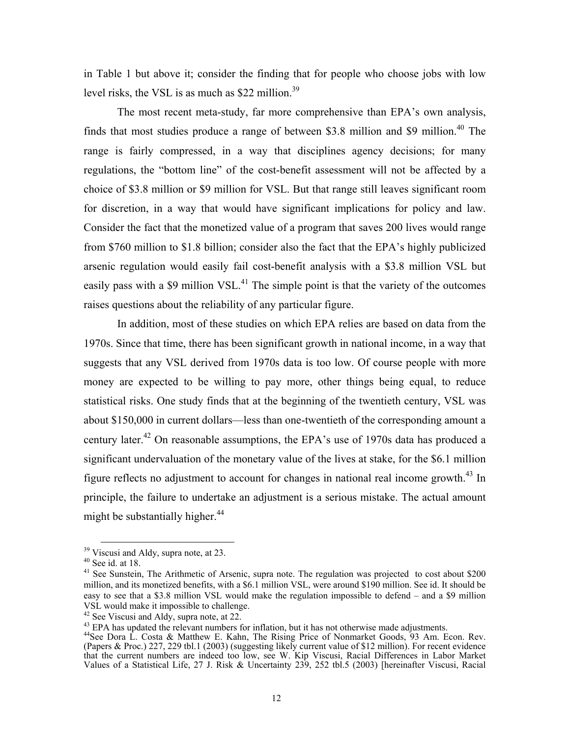<span id="page-13-5"></span>in Tab le 1 but above it; consider the finding that for people who choose jobs with low level risks, the VSL is as much as  $$22$  million.<sup>39</sup>

arsenic regulation would easily fail cost-benefit analysis with a \$3.8 million VSL but easily pass with a \$9 million  $VSL<sup>41</sup>$ . The simple point is that the variety of the outcomes raises q uestions about the reliability of any particular figure. The most recent meta-study, far more comprehensive than EPA's own analysis, finds that most studies produce a range of between \$3.8 million and \$9 million.<sup>40</sup> The range is fairly compressed, in a way that disciplines agency decisions; for many regulations, the "bottom line" of the cost-benefit assessment will not be affected by a choice of \$3.8 million or \$9 million for VSL. But that range still leaves significant room for discretion, in a way that would have significant implications for policy and law. Consider the fact that the monetized value of a program that saves 200 lives would range from \$760 million to \$1.8 billion; consider also the fact that the EPA's highly publicized

In addition, most of these studies on which EPA relies are based on data from the 1970s. Since that time, there has been significant growth in national income, in a way that suggests that any VSL derived from 1970s data is too low. Of course people with more money are expected to be willing to pay more, other things being equal, to reduce statistical risks. One study finds that at the beginning of the twentieth century, VSL was about \$150,000 in current dollars—less than one-twentieth of the corresponding amount a century later[.42](#page-13-3) On reasonable assumptions, the EPA's use of 1970s data has produced a significant undervaluation of the monetary value of the lives at stake, for the \$6.1 million figure reflects no adjustment to account for changes in national real income growth[.43](#page-13-4) In principle, the failure to undertake an adjustment is a serious mistake. The actual amount might be substantially higher. $^{44}$  $^{44}$  $^{44}$ 

<span id="page-13-0"></span> $39$  Viscusi and Aldy, supra note, at 23.<br> $40$  See id. at 18.

<span id="page-13-1"></span>

<span id="page-13-2"></span><sup>&</sup>lt;sup>41</sup> See Sunstein, The Arithmetic of Arsenic, supra note. The regulation was projected to cost about \$200 million, and its monetized benefits, with a \$6.1 million VSL, were around \$190 million. See id. It should be easy to see that a \$3.8 million VSL would make the regulation impossible to defend – and a \$9 million VSL would make it impossible to challenge.

<span id="page-13-3"></span> $42$  See Viscusi and Aldy, supra note, at 22.

<span id="page-13-4"></span><sup>&</sup>lt;sup>43</sup> EPA has updated the relevant numbers for inflation, but it has not otherwise made adjustments.

<sup>&</sup>lt;sup>44</sup> See Dora L. Costa & Matthew E. Kahn, The Rising Price of Nonmarket Goods, 93 Am. Econ. Rev. ggesting likely current value of \$12 million). For recent evidence that the current numbers are indeed too low, see W. Kip Viscusi, Racial Differences in Labor Market J. Risk & Uncertainty 239, 252 tbl.5 (2003) [hereinafter Viscusi, Racial (Papers & Proc.) 227, 229 tbl.1 (2003) (su at the current numbers are indeed to Values of a Statistical Life, 27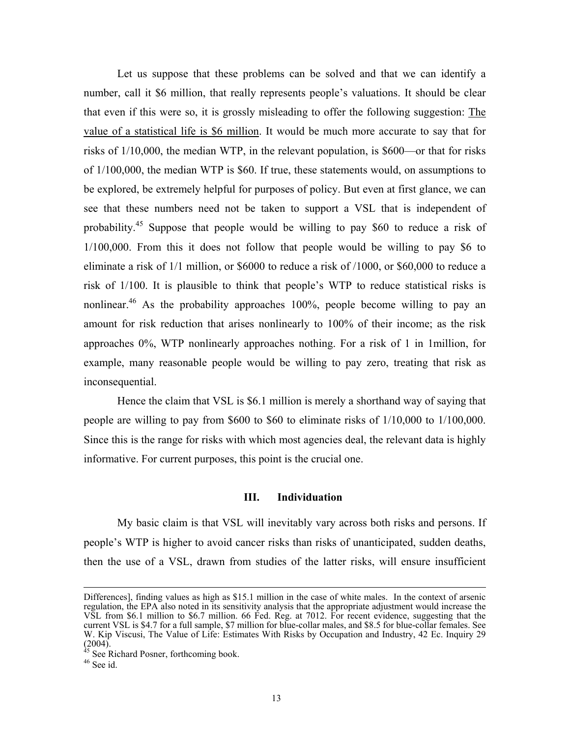Let us suppose that these problems can be solved and that we can identify a number, call it \$6 million, that really represents people's valuations. It should be clear that even if this were so, it is grossly misleading to offer the following suggestion: The value of a statistical life is \$6 million. It would be much more accurate to say that for risks of 1/10,000, the median WTP, in the relevant population, is \$600—or that for risks of 1/100,000, the median WTP is \$60. If true, these statements would, on assumptions to be explored, be extremely helpful for purposes of policy. But even at first glance, we can see that these numbers need not be taken to support a VSL that is independent of probability.[45](#page-14-0) Suppose that people would be willing to pay \$60 to reduce a risk of 1/100,000. From this it does not follow that people would be willing to pay \$6 to eliminate a risk of 1/1 million, or \$6000 to reduce a risk of /1000, or \$60,000 to reduce a risk of 1/100. It is plausible to think that people's WTP to reduce statistical risks is nonlinear.<sup>46</sup> As the probability approaches  $100\%$ , people become willing to pay an amount for risk reduction that arises nonlinearly to 100% of their income; as the risk approaches 0%, WTP nonlinearly approaches nothing. For a risk of 1 in 1million, for example, many reasonable people would be willing to pay zero, treating that risk as inconsequential.

Hence the claim that VSL is \$6.1 million is merely a shorthand way of saying that people are willing to pay from \$600 to \$60 to eliminate risks of  $1/10,000$  to  $1/100,000$ . Since this is the range for risks with which most agencies deal, the relevant data is highly informative. For current purposes, this point is the crucial one.

## **III. Individuation**

My basic claim is that VSL will inevitably vary across both risks and persons. If people's WTP is higher to avoid cancer risks than risks of unanticipated, sudden deaths, then the use of a VSL, drawn from studies of the latter risks, will ensure insufficient

Differences], finding values as high as \$15.1 million in the case of white males. In the context of arsenic regulation, the EPA also noted in its sensitivity analysis that the appropriate adjustment would increase the Fed. Reg. at 7012. For recent evidence, suggesting that the ales. See VSL from \$6.1 million to \$6.7 million. 66 current VSL is \$4.7 for a full sample, \$7 million for blue-collar males, and \$8.5 for blue-collar fem W. Kip Viscusi, The Value of Life: Estimates With Risks by Occupation and Industry, 42 Ec. Inquiry 29  $(2004)$ .

<span id="page-14-0"></span> $45$  See Richard Posner, forthcoming book.<br> $46$  See id.

<span id="page-14-1"></span>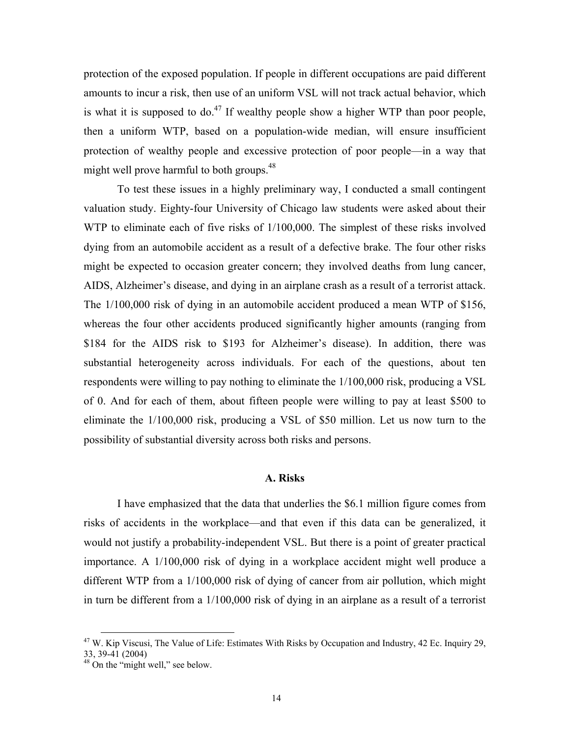protect ion of the exposed population. If people in different occupations are paid different amounts to incur a risk, then use of an uniform VSL will not track actual behavior, which is what it is supposed to do.<sup>47</sup> If wealthy people show a higher WTP than poor people, then a uniform WTP, based on a population-wide median, will ensure insufficient protection of wealthy people and excessive protection of poor people—in a way that might well prove harmful to both groups.<sup>[48](#page-15-1)</sup>

respondents were willing to pay nothing to eliminate the  $1/100,000$  risk, producing a VSL of 0. A nd for each of them, about fifteen people were willing to pay at least \$500 to To test these issues in a highly preliminary way, I conducted a small contingent valuation study. Eighty-four University of Chicago law students were asked about their WTP to eliminate each of five risks of 1/100,000. The simplest of these risks involved dying from an automobile accident as a result of a defective brake. The four other risks might be expected to occasion greater concern; they involved deaths from lung cancer, AIDS, Alzheimer's disease, and dying in an airplane crash as a result of a terrorist attack. The 1/100,000 risk of dying in an automobile accident produced a mean WTP of \$156, whereas the four other accidents produced significantly higher amounts (ranging from \$184 for the AIDS risk to \$193 for Alzheimer's disease). In addition, there was substantial heterogeneity across individuals. For each of the questions, about ten eliminate the 1/100,000 risk, producing a VSL of \$50 million. Let us now turn to the possibility of substantial diversity across both risks and persons.

# **A. Risks**

I have emphasized that the data that underlies the \$6.1 million figure comes from risks o f accidents in the workplace—and that even if this data can be generalized, it different WTP from a 1/100,000 risk of dying of cancer from air pollution, which might would not justify a probability-independent VSL. But there is a point of greater practical importance. A 1/100,000 risk of dying in a workplace accident might well produce a in turn be different from a 1/100,000 risk of dying in an airplane as a result of a terrorist

<span id="page-15-0"></span> $47$  W. Kip Viscusi, The Value of Life: Estimates With Risks by Occupation and Industry, 42 Ec. Inquiry 29, 33, 39-41 (2004)

<span id="page-15-1"></span> $48$  On the "might well," see below.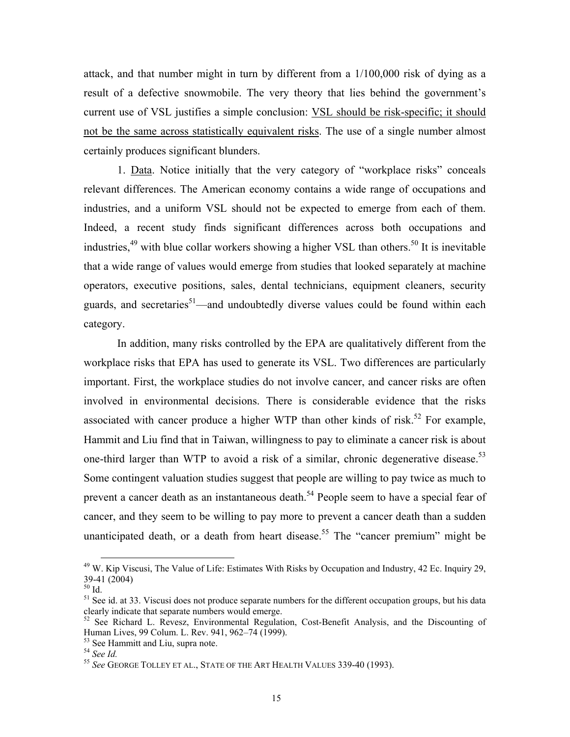attack, and that number might in turn by different from a 1/100,000 risk of dying as a result of a defective snowmobile. The very theory that lies behind the government's current use of VSL justifies a simple conclusion: VSL should be risk-specific; it should not be the same across statistically equivalent risks. The use of a single number almost certainly produces significant blunders.

1. Data. Notice initially that the very category of "workplace risks" conceals relevan t differences. The American economy contains a wide range of occupations and industries, and a uniform VSL should not be expected to emerge from each of them. Indeed, a recent study finds significant differences across both occupations and industries,  $49$  with blue collar workers showing a higher VSL than others.<sup>50</sup> It is inevitable that a wide range of values would emerge from studies that looked separately at machine operators, executive positions, sales, dental technicians, equipment cleaners, security guards, and secretaries<sup>51</sup>—and undoubtedly diverse values could be found within each category.

Hammit and Liu find that in Taiwan, willingness to pay to eliminate a cancer risk is about one-third larger than WTP to avoid a risk of a similar, chronic degenerative disease.<sup>53</sup> Some contingent valuation studies suggest that people are willing to pay twice as much to prevent a cancer death as an instantaneous death.<sup>54</sup> People seem to have a special fear of unanticipateddeath, or a death from heart disease.<sup>55</sup> The "cancer premium" might be In addition, many risks controlled by the EPA are qualitatively different from the workplace risks that EPA has used to generate its VSL. Two differences are particularly important. First, the workplace studies do not involve cancer, and cancer risks are often involved in environmental decisions. There is considerable evidence that the risks associated with cancer produce a higher WTP than other kinds of risk.<sup>52</sup> For example, cancer, and they seem to be willing to pay more to prevent a cancer death than a sudden

<span id="page-16-0"></span><sup>&</sup>lt;sup>49</sup> W. Kip Viscusi, The Value of Life: Estimates With Risks by Occupation and Industry, 42 Ec. Inquiry 29, 39-41 (2004)

<span id="page-16-1"></span> $50$  Id.

<span id="page-16-2"></span> $51$  See id. at 33. Viscusi does not produce separate numbers for the different occupation groups, but his data clearly indicate that separate numbers would emerge.

<span id="page-16-3"></span><sup>&</sup>lt;sup>52</sup> See Richard L. Revesz, Environmental Regulation, Cost-Benefit Analysis, and the Discounting of Human Lives, 99 Colum. L. Rev. 941, 962–74 (1999).<br><sup>53</sup> See Hammitt and Liu, supra note.

<span id="page-16-6"></span><span id="page-16-5"></span>

<span id="page-16-4"></span><sup>&</sup>lt;sup>53</sup> See Hammitt and Liu, supra note.<br><sup>54</sup> *See Id.*<br><sup>55</sup> *See* GEORGE TOLLEY ET AL., STATE OF THE ART HEALTH VALUES 339-40 (1993).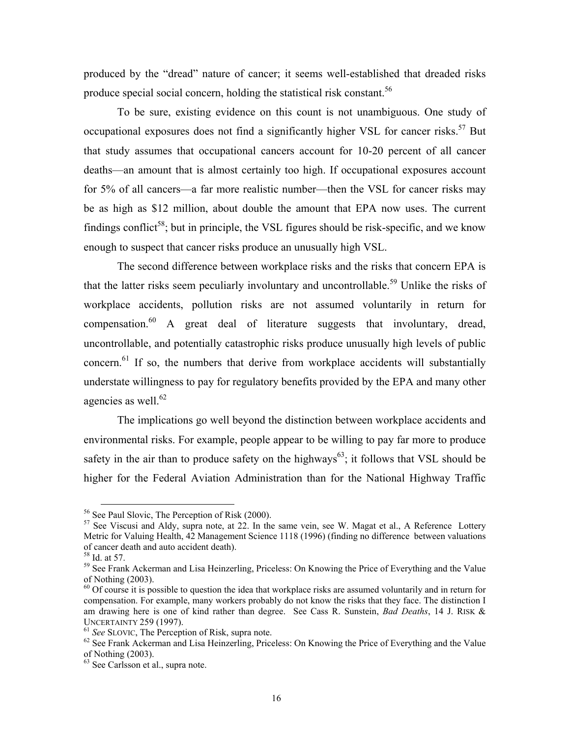produced by the "dread" nature of cancer; it seems well-established that dreaded risks produce special social concern, holding the statistical risk constant.<sup>56</sup>

To be sure, existing evidence on this count is not unambiguous. One study of occupational exposures does not find a significantly higher VSL for cancer risks.<sup>57</sup> But that study assumes that occupational cancers account for 10-20 percent of all cancer deaths— an amount that is almost certainly too high. If occupational exposures account for 5% of all cancers—a far more realistic number—then the VSL for cancer risks may be as high as \$12 million, about double the amount that EPA now uses. The current findings conflict<sup>58</sup>; but in principle, the VSL figures should be risk-specific, and we know enough to suspect that cancer risks produce an unusually high VSL.

compensation.<sup>60</sup> A great deal of literature suggests that involuntary, dread, uncontr ollable, and potentially catastrophic risks produce unusually high levels of public The second difference between workplace risks and the risks that concern EPA is that the latter risks seem peculiarly involuntary and uncontrollable.<sup>59</sup> Unlike the risks of workplace accidents, pollution risks are not assumed voluntarily in return for concern.<sup>61</sup> If so, the numbers that derive from workplace accidents will substantially understate willingness to pay for regulatory benefits provided by the EPA and many other agencies as well. $62$ 

The implications go well beyond the distinction between workplace accidents and environmental risks. For example, people appear to be willing to pay far more to produce safety in the air than to produce safety on the highways<sup>63</sup>; it follows that VSL should be higher for the Federal Aviation Administration than for the National Highway Traffic

<span id="page-17-0"></span> $56$  See Paul Slovic, The Perception of Risk (2000).

<span id="page-17-1"></span>Metric for Valuing Health, 42 Management Science 1118 (1996) (finding no difference between valuations  $57$  See Viscusi and Aldy, supra note, at 22. In the same vein, see W. Magat et al., A Reference Lottery of cancer death and auto accident death).

<span id="page-17-2"></span><sup>58</sup> Id. at 57.

<span id="page-17-3"></span>of Nothing  $(2003)$ . of Nothing (2003).<br><sup>60</sup> Of course it is possible to question the idea that workplace risks are assumed voluntarily and in return for <sup>59</sup> See Frank Ackerman and Lisa Heinzerling, Priceless: On Knowing the Price of Everything and the Value

<span id="page-17-4"></span>am drawing here is one of kind rather than degree. See Cass R. Sunstein, *Bad Deaths*, 14 J. RISK & UNCERTAINTY 259 (1997).<br><sup>61</sup> See SLOVIC, The Perception of Risk, supra note.<br><sup>62</sup> See Frank Ackerman and Lisa Heinzerling, Priceless: On Knowing the Price of Everything and the Value compensation. For example, many workers probably do not know the risks that they face. The distinction I

<span id="page-17-5"></span>

<span id="page-17-6"></span>of Nothing (2003).

<span id="page-17-7"></span> $63$  See Carlsson et al., supra note.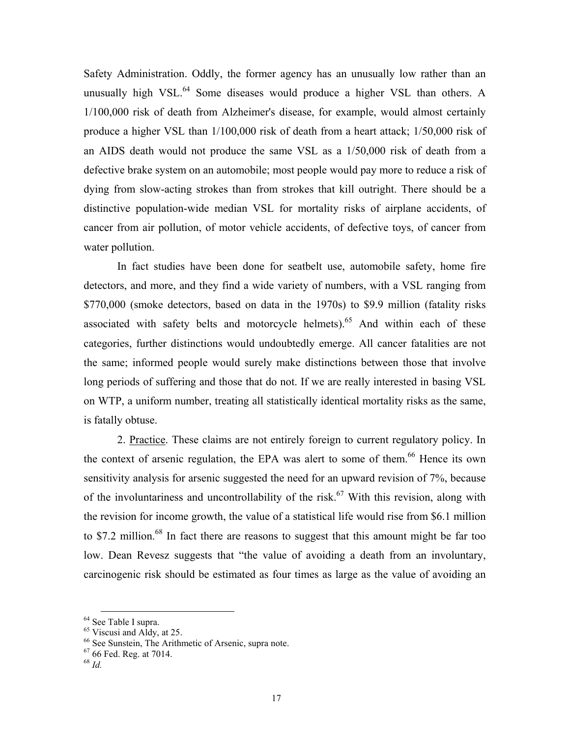Safety Administration. Oddly, the former agency has an unusually low rather than an unusually high VSL. $^{64}$  Some diseases would produce a higher VSL than others. A 1/100,0 00 risk of death from Alzheimer's disease, for example, would almost certainly produce a higher VSL than 1/100,000 risk of death from a heart attack; 1/50,000 risk of an AIDS death would not produce the same VSL as a 1/50,000 risk of death from a defective brake system on an automobile; most people would pay more to reduce a risk of dying from slow-acting strokes than from strokes that kill outright. There should be a distinctive population-wide median VSL for mortality risks of airplane accidents, of cancer from air pollution, of motor vehicle accidents, of defective toys, of cancer from water pollution.

on WTP, a uniform number, treating all statistically identical mortality risks as the same, is fatall y obtuse. In fact studies have been done for seatbelt use, automobile safety, home fire detectors, and more, and they find a wide variety of numbers, with a VSL ranging from \$770,000 (smoke detectors, based on data in the 1970s) to \$9.9 million (fatality risks associated with safety belts and motorcycle helmets). $65$  And within each of these categories, further distinctions would undoubtedly emerge. All cancer fatalities are not the same; informed people would surely make distinctions between those that involve long periods of suffering and those that do not. If we are really interested in basing VSL

2. Practice. These claims are not entirely foreign to current regulatory policy. In the context of arsenic regulation, the EPA was alert to some of them.<sup>66</sup> Hence its own sensitivity analysis for arsenic suggested the need for an upward revision of 7%, because of the involuntariness and uncontrollability of the risk.<sup>67</sup> With this revision, along with the revision for income growth, the value of a statistical life would rise from \$6.1 million low. Dean Revesz suggests that "the value of avoiding a death from an involuntary, to \$7.2 million.<sup>68</sup> In fact there are reasons to suggest that this amount might be far too carcinogenic risk should be estimated as four times as large as the value of avoiding an

<span id="page-18-1"></span><span id="page-18-0"></span>

 $64$  See Table I supra.<br> $65$  Viscusi and Aldy, at 25.

<span id="page-18-2"></span><sup>&</sup>lt;sup>66</sup> See Sunstein, The Arithmetic of Arsenic, supra note. <sup>67</sup> 66 Fed. Reg. at 7014. <sup>68</sup> *Id*.

<span id="page-18-3"></span>

<span id="page-18-4"></span>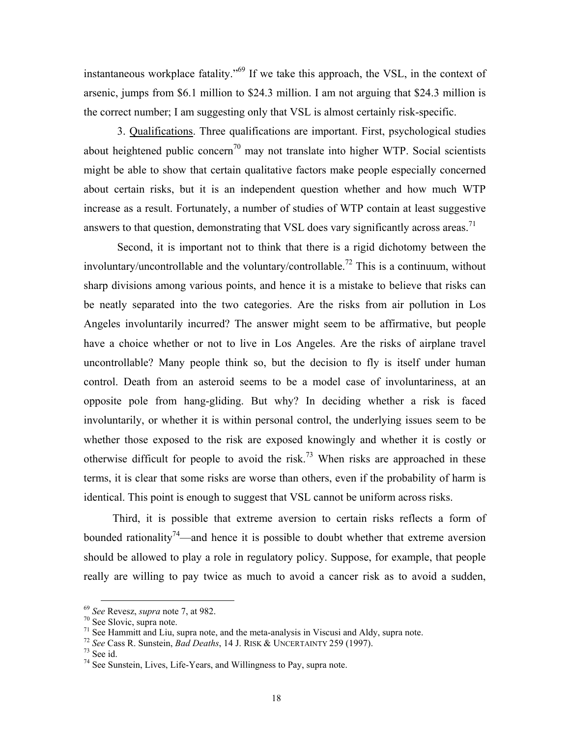instantaneous workplace fatality."[69](#page-19-0) If we take this approach, the VSL, in the context of arsenic, jumps from \$6.1 million to \$24.3 million. I am not arguing that \$24.3 million is the correct number; I am suggesting only that VSL is almost certainly risk-specific.

3. Qualifications. Three qualifications are important. First, psychological studies about heightened public concern<sup>70</sup> may not translate into higher WTP. Social scientists might be able to show that certain qualitative factors make people especially concerned about certain risks, but it is an independent question whether and how much WTP increase as a result. Fortunately, a number of studies of WTP contain at least suggestive answers to that question, demonstrating that VSL does vary significantly across areas.<sup>71</sup>

Second, it is important not to think that there is a rigid dichotomy between the involuntary/uncontrollable and the voluntary/controllable.<sup>72</sup> This is a continuum, without involuntarily, or whether it is within personal control, the underlying issues seem to be whethe r those exposed to the risk are exposed knowingly and whether it is costly or sharp divisions among various points, and hence it is a mistake to believe that risks can be neatly separated into the two categories. Are the risks from air pollution in Los Angeles involuntarily incurred? The answer might seem to be affirmative, but people have a choice whether or not to live in Los Angeles. Are the risks of airplane travel uncontrollable? Many people think so, but the decision to fly is itself under human control. Death from an asteroid seems to be a model case of involuntariness, at an opposite pole from hang-gliding. But why? In deciding whether a risk is faced otherwise difficult for people to avoid the risk.<sup>73</sup> When risks are approached in these terms, it is clear that some risks are worse than others, even if the probability of harm is identical. This point is enough to suggest that VSL cannot be uniform across risks.

Third, it is possible that extreme aversion to certain risks reflects a form of bounded rationality<sup>74</sup>—and hence it is possible to doubt whether that extreme aversion should be allowed to play a role in regulatory policy. Suppose, for example, that people really are willing to pay twice as much to avoid a cancer risk as to avoid a sudden,

<span id="page-19-0"></span><sup>69</sup> *See* Revesz, *supra* note 7, at 982.

<sup>70</sup> See Slovic, supra note.

<span id="page-19-2"></span><span id="page-19-1"></span>ra note, and the meta-analysis in Viscusi and Aldy, supra note. <sup>70</sup> See Slovic, supra note.<br><sup>71</sup> See Hammitt and Liu, supra note, and the meta-analys<br><sup>72</sup> *See* Cass R. Sunstein, *Bad Deaths*, 14 J. RISK & UNCE<br><sup>73</sup> See id.

<span id="page-19-3"></span><sup>&</sup>lt;sup>72</sup> See Cass R. Sunstein, *Bad Deaths*, 14 J. RISK & UNCERTAINTY 259 (1997).

<span id="page-19-4"></span>

<span id="page-19-5"></span> $74$  See Sunstein, Lives, Life-Years, and Willingness to Pay, supra note.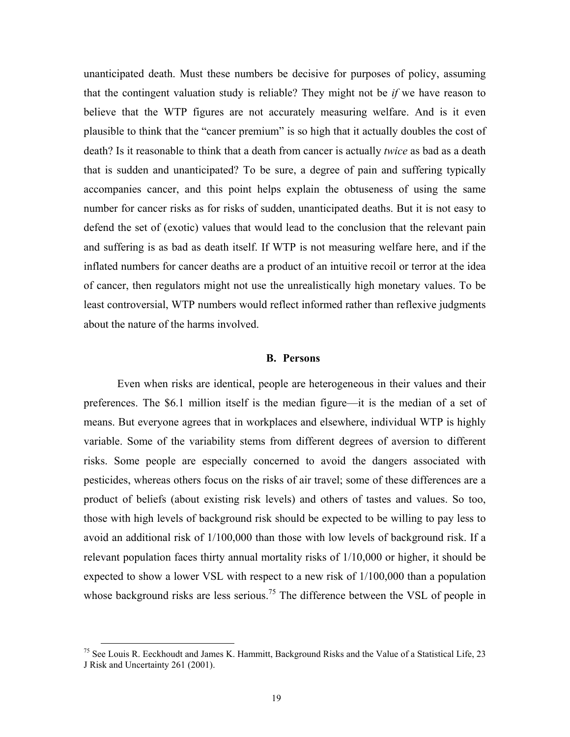unanticipated death. Must these numbers be decisive for purposes of policy, assuming that the contingent valuation study is reliable? They might not be *if* we have reason to believe that the WTP figures are not accurately measuring welfare. And is it even plausib le to think that the "cancer premium" is so high that it actually doubles the cost of and suf fering is as bad as death itself. If WTP is not measuring welfare here, and if the death? Is it reasonable to think that a death from cancer is actually *twice* as bad as a death that is sudden and unanticipated? To be sure, a degree of pain and suffering typically accompanies cancer, and this point helps explain the obtuseness of using the same number for cancer risks as for risks of sudden, unanticipated deaths. But it is not easy to defend the set of (exotic) values that would lead to the conclusion that the relevant pain inflated numbers for cancer deaths are a product of an intuitive recoil or terror at the idea of cancer, then regulators might not use the unrealistically high monetary values. To be least controversial, WTP numbers would reflect informed rather than reflexive judgments about the nature of the harms involved.

#### **B. Persons**

product of beliefs (about existing risk levels) and others of tastes and values. So too, thos e with high levels of background risk should be expected to be willing to pay less to whose background risks are less serious.<sup>75</sup> The difference between the VSL of people in Even when risks are identical, people are heterogeneous in their values and their preferences. The \$6.1 million itself is the median figure—it is the median of a set of means. But everyone agrees that in workplaces and elsewhere, individual WTP is highly variable. Some of the variability stems from different degrees of aversion to different risks. Some people are especially concerned to avoid the dangers associated with pesticides, whereas others focus on the risks of air travel; some of these differences are a avoid an additional risk of 1/100,000 than those with low levels of background risk. If a relevant population faces thirty annual mortality risks of 1/10,000 or higher, it should be expected to show a lower VSL with respect to a new risk of 1/100,000 than a population

<span id="page-20-0"></span><sup>&</sup>lt;sup>75</sup> See Louis R. Eeckhoudt and James K. Hammitt, Background Risks and the Value of a Statistical Life, 23 J Risk and Uncertainty 261 (2001).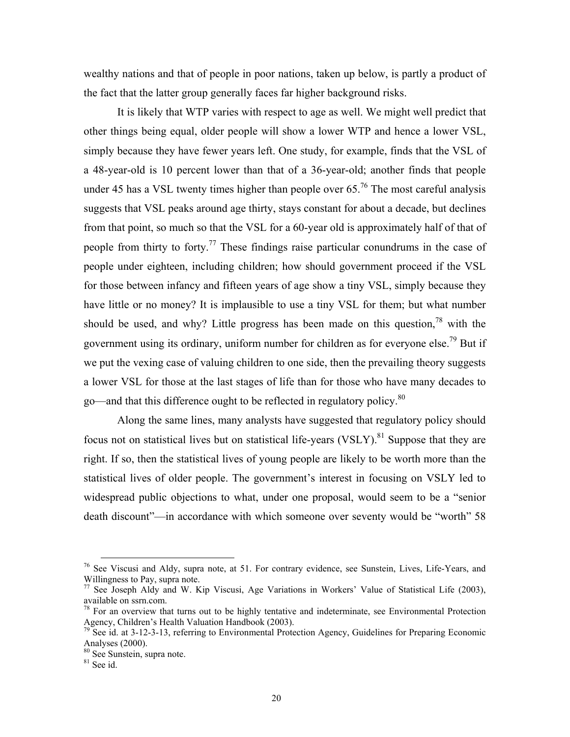wealthy nations and that of people in poor nations, taken up below, is partly a product of the fact that the latter group generally faces far higher background risks.

It is likely that WTP varies with respect to age as well. We might well predict that other things being equal, older people will show a lower WTP and hence a lower VSL, simply because they have fewer years left. One study, for example, finds that the VSL of a 48-year-old is 10 percent lower than that of a 36-year-old; another finds that people under 45 has a VSL twenty times higher than people over  $65$ .<sup>76</sup> The most careful analysis suggests that VSL peaks around age thirty, stays constant for about a decade, but declines from that point, so much so that the VSL for a 60-year old is approximately half of that of people from thirty to forty.<sup>77</sup> These findings raise particular conundrums in the case of people under eighteen, including children; how should government proceed if the VSL for those between infancy and fifteen years of age show a tiny VSL, simply because they have little or no money? It is implausible to use a tiny VSL for them; but what number should be used, and why? Little progress has been made on this question,  $^{78}$  with the government using its ordinary, uniform number for children as for everyone else.<sup>79</sup> But if we put the vexing case of valuing children to one side, then the prevailing theory suggests a lower VSL for those at the last stages of life than for those who have many decades to go—and that this difference ought to be reflected in regulatory policy.<sup>80</sup>

Along the same lines, many analysts have suggested that regulatory policy should focus not on statistical lives but on statistical life-years  $(VSLY)$ <sup>81</sup> Suppose that they are right. If so, then the statistical lives of young people are likely to be worth more than the statistical lives of older people. The government's interest in focusing on VSLY led to widespread public objections to what, under one proposal, would seem to be a "senior death discount"—in accordance with which someone over seventy would be "worth" 58

<span id="page-21-0"></span>Willingness to Pay, supra note.  $76$  See Viscusi and Aldy, supra note, at 51. For contrary evidence, see Sunstein, Lives, Life-Years, and

<span id="page-21-1"></span> $^{77}$  See Joseph Aldy and W. Kip Viscusi, Age Variations in Workers' Value of Statistical Life (2003), available on ssrn.com.

<span id="page-21-2"></span> $78$  For an overview that turns out to be highly tentative and indeterminate, see Environmental Protection

<span id="page-21-3"></span>Agency, Children's Health Valuation Handbook (2003).<br><sup>79</sup> See id. at 3-12-3-13, referring to Environmental Protection Agency, Guidelines for Preparing Economic Analyses (2000).

<span id="page-21-4"></span> $\frac{80}{81}$  See Sunstein, supra note.  $\frac{81}{81}$  See id.

<span id="page-21-5"></span>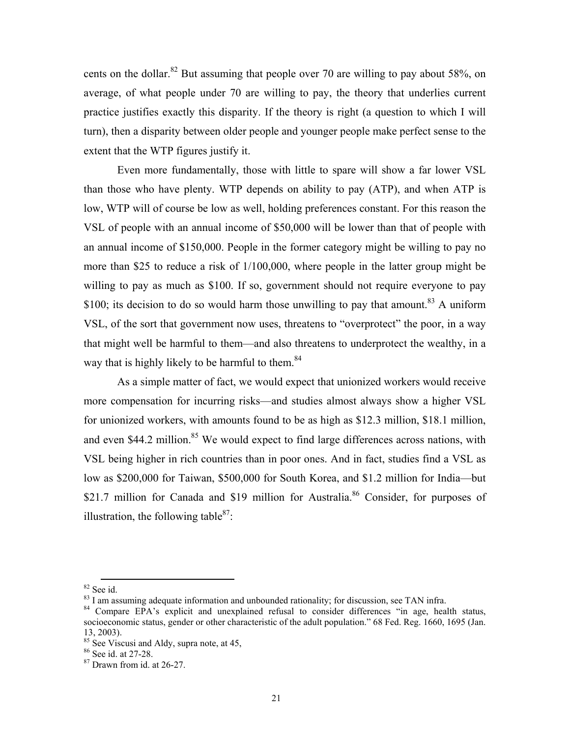cents on the dollar.<sup>82</sup> But assuming that people over 70 are willing to pay about 58%, on average, of what people under 70 are willing to pay, the theory that underlies current practic e justifies exactly this disparity. If the theory is right (a question to which I will turn), then a disparity between older people and younger people make perfect sense to the extent that the WTP figures justify it.

Even more fundamentally, those with little to spare will show a far lower VSL than those who have plenty. WTP depends on ability to pay (ATP), and when ATP is low, WTP will of course be low as well, holding preferences constant. For this reason the VSL of people with an annual income of \$50,000 will be lower than that of people with an annual income of \$150,000. People in the former category might be willing to pay no more than \$25 to reduce a risk of 1/100,000, where people in the latter group might be willing to pay as much as \$100. If so, government should not require everyone to pay \$100; its decision to do so would harm those unwilling to pay that amount.<sup>83</sup> A uniform VSL, of the sort that government now uses, threatens to "overprotect" the poor, in a way that might well be harmful to them—and also threatens to underprotect the wealthy, in a way that is highly likely to be harmful to them.<sup>[84](#page-22-2)</sup>

more compensation for incurring risks—and studies almost always show a higher VSL for unionized workers, with amounts found to be as high as \$12.3 million, \$18.1 million, As a simple matter of fact, we would expect that unionized workers would receive and even \$44.2 million.<sup>85</sup> We would expect to find large differences across nations, with VSL being higher in rich countries than in poor ones. And in fact, studies find a VSL as low as \$200,000 for Taiwan, \$500,000 for South Korea, and \$1.2 million for India—but \$21.7 million for Canada and \$19 million for Australia.<sup>86</sup> Consider, for purposes of illustration, the following table $87$ :

<span id="page-22-0"></span><sup>82</sup> See id.

<span id="page-22-1"></span> $83$  I am assuming adequate information and unbounded rationality; for discussion, see TAN infra.

<span id="page-22-2"></span>socioeconomic status, gender or other characteristic of the adult population." 68 Fed. Reg. 1660, 1695 (Jan. <sup>84</sup> Compare EPA's explicit and unexplained refusal to consider differences "in age, health status, 13, 2003).

<span id="page-22-3"></span> $85$  See Viscusi and Aldy, supra note, at 45,

<span id="page-22-4"></span> $86$  See id. at 27-28.

<span id="page-22-5"></span> $87$  Drawn from id. at 26-27.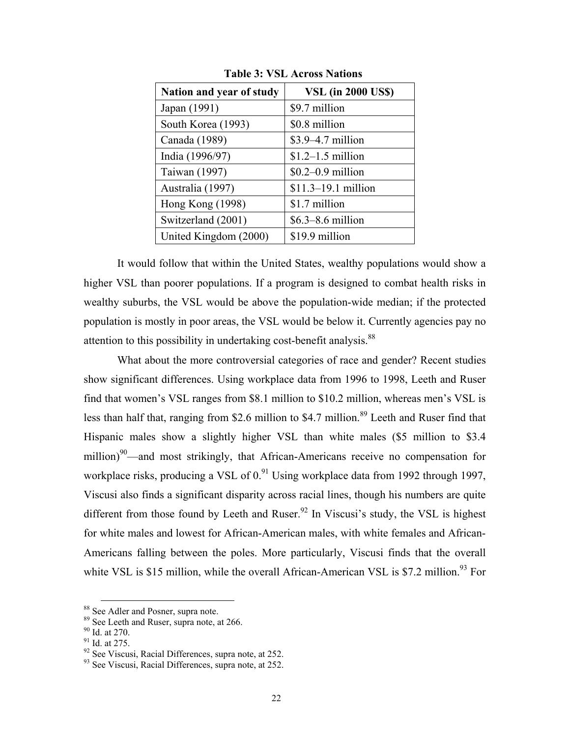| Nation and year of study | <b>VSL</b> (in 2000 US\$) |
|--------------------------|---------------------------|
| Japan (1991)             | \$9.7 million             |
| South Korea (1993)       | \$0.8 million             |
| Canada (1989)            | \$3.9–4.7 million         |
| India (1996/97)          | $$1.2-1.5$ million        |
| Taiwan (1997)            | $$0.2-0.9$ million        |
| Australia (1997)         | $$11.3-19.1$ million      |
| <b>Hong Kong (1998)</b>  | \$1.7 million             |
| Switzerland (2001)       | \$6.3-8.6 million         |
| United Kingdom (2000)    | \$19.9 million            |

**Table 3: VSL Across Nations** 

It would follow that within the United States, wealthy populations would show a higher VSL than poorer populations. If a program is designed to combat health risks in wealthy suburbs, the VSL would be above the population-wide median; if the protected population is mostly in poor areas, the VSL would be below it. Currently agencies pay no attention to this possibility in undertaking cost-benefit analysis.<sup>88</sup>

What about the more controversial categories of race and gender? Recent studies show s ignificant differences. Using workplace data from 1996 to 1998, Leeth and Ruser different from those found by Leeth and Ruser.<sup>92</sup> In Viscusi's study, the VSL is highest for white males and lowest for African-American males, with white females and African-Americans falling between the poles. More particularly, Viscusi finds that the overall white VSL is \$15 million, while the overall African-American VSL is \$7.2 million.<sup>93</sup> For find that women's VSL ranges from \$8.1 million to \$10.2 million, whereas men's VSL is less than half that, ranging from \$2.6 million to \$4.7 million.<sup>89</sup> Leeth and Ruser find that Hispanic males show a slightly higher VSL than white males (\$5 million to \$3.4 million)<sup>90</sup>—and most strikingly, that African-Americans receive no compensation for workplace risks, producing a VSL of  $0.91$ <sup>1</sup> Using workplace data from 1992 through 1997, Viscusi also finds a significant disparity across racial lines, though his numbers are quite

<span id="page-23-0"></span><sup>88</sup> See Adler and Posner, supra note.

<span id="page-23-1"></span><sup>&</sup>lt;sup>89</sup> See Leeth and Ruser, supra note, at 266.<br><sup>90</sup> Id. at 270.<br><sup>91</sup> Id. at 275.

<span id="page-23-2"></span>

<span id="page-23-4"></span>

<span id="page-23-3"></span> $92$  See Viscusi, Racial Differences, supra note, at 252. <sup>91</sup> Id. at 275.<br><sup>92</sup> See Viscusi, Racial Differences, supra note, at 252.<br><sup>93</sup> See Viscusi, Racial Differences, supra note, at 252.

<span id="page-23-5"></span>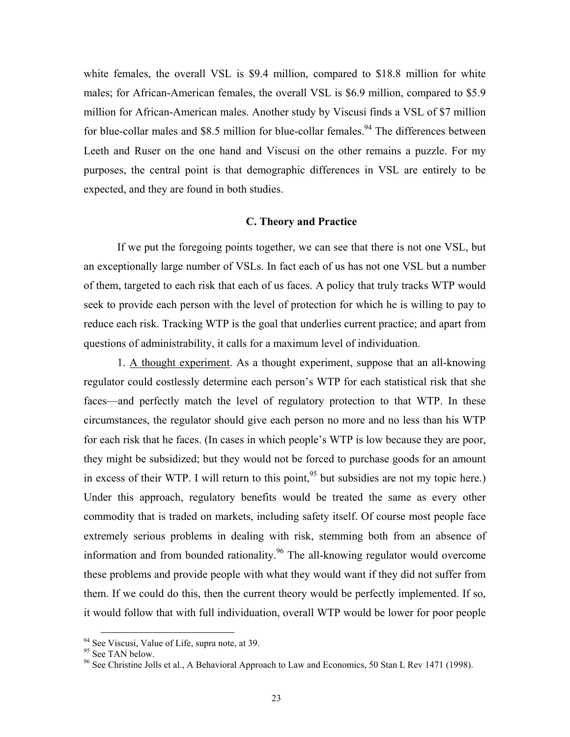white females, the overall VSL is  $$9.4$  million, compared to  $$18.8$  million for white males; for African-American females, the overall VSL is \$6.9 million, compared to \$5.9 million for African-American males. Another study by Viscusi finds a VSL of \$7 million for blue-collar males and \$8.5 million for blue-collar females.<sup>94</sup> The differences between Leeth and Ruser on the one hand and Viscusi on the other remains a puzzle. For my purposes, the central point is that demographic differences in VSL are entirely to be expected, and they are found in both studies.

#### **. Theor C y and Practice**

If we put the foregoing points together, we can see that there is not one VSL, but an exce ptionally large number of VSLs. In fact each of us has not one VSL but a number questions of administrability, it calls for a maximum level of individuation. of them, targeted to each risk that each of us faces. A policy that truly tracks WTP would seek to provide each person with the level of protection for which he is willing to pay to reduce each risk. Tracking WTP is the goal that underlies current practice; and apart from

1. A thought experiment. As a thought experiment, suppose that an all-knowing regulator could costlessly determine each person's WTP for each statistical risk that she faces—and perfectly match the level of regulatory protection to that WTP. In these circumstances, the regulator should give each person no more and no less than his WTP for each risk that he faces. (In cases in which people's WTP is low because they are poor, they might be subsidized; but they would not be forced to purchase goods for an amount in excess of their WTP. I will return to this point,  $95$  but subsidies are not my topic here.) Under this approach, regulatory benefits would be treated the same as every other commodity that is traded on markets, including safety itself. Of course most people face extremely serious problems in dealing with risk, stemming both from an absence of information and from bounded rationality.[96](#page-24-2) The all-knowing regulator would overcome these problems and provide people with what they would want if they did not suffer from them. If we could do this, then the current theory would be perfectly implemented. If so, it would follow that with full individuation, overall WTP would be lower for poor people

<span id="page-24-0"></span> $94$  See Viscusi, Value of Life, supra note, at 39.

<span id="page-24-1"></span> $95$  See TAN below.

<span id="page-24-2"></span> $96$  See Christine Jolls et al., A Behavioral Approach to Law and Economics, 50 Stan L Rev 1471 (1998).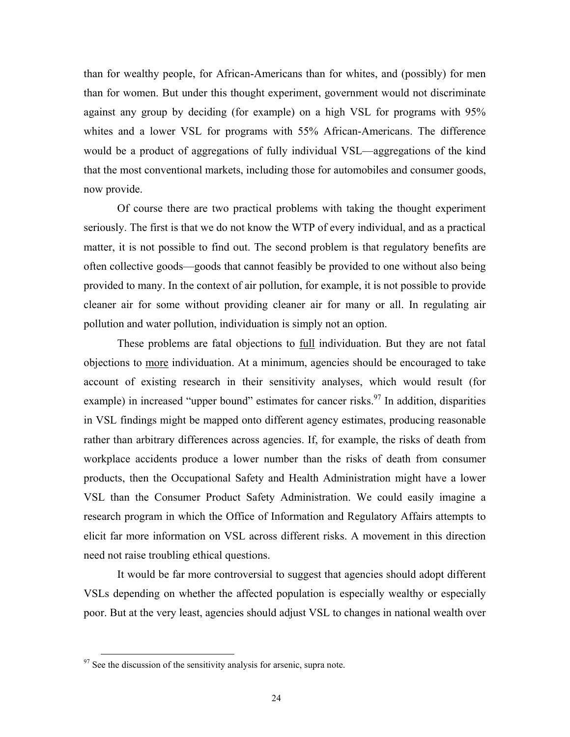than for wealthy people, for African-Americans than for whites, and (possibly) for men than for women. But under this thought experiment, government would not discriminate against any group by deciding (for example) on a high VSL for programs with 95% whites and a lower VSL for programs with 55% African-Americans. The difference would be a product of aggregations of fully individual VSL—aggregations of the kind that the most conventional markets, including those for automobiles and consumer goods, now provide.

Of course there are two practical problems with taking the thought experiment seriously. The first is that we do not know the WTP of every individual, and as a practical matter, it is not possible to find out. The second problem is that regulatory benefits are often collective goods—goods that cannot feasibly be provided to one without also being provided to many. In the context of air pollution, for example, it is not possible to provide cleaner air for some without providing cleaner air for many or all. In regulating air pollution and water pollution, individuation is simply not an option.

These problems are fatal objections to full individuation. But they are not fatal objections to more individuation. At a minimum, agencies should be encouraged to take account of existing research in their sensitivity analyses, which would result (for example) in increased "upper bound" estimates for cancer risks.<sup>97</sup> In addition, disparities in VSL findings might be mapped onto different agency estimates, producing reasonable rather than arbitrary differences across agencies. If, for example, the risks of death from workplace accidents produce a lower number than the risks of death from consumer products, then the Occupational Safety and Health Administration might have a lower VSL than the Consumer Product Safety Administration. We could easily imagine a research program in which the Office of Information and Regulatory Affairs attempts to elicit far more information on VSL across different risks. A movement in this direction need not raise troubling ethical questions.

It would be far more controversial to suggest that agencies should adopt different VSLs depending on whether the affected population is especially wealthy or especially poor. But at the very least, agencies should adjust VSL to changes in national wealth over

<span id="page-25-0"></span> $97$  See the discussion of the sensitivity analysis for arsenic, supra note.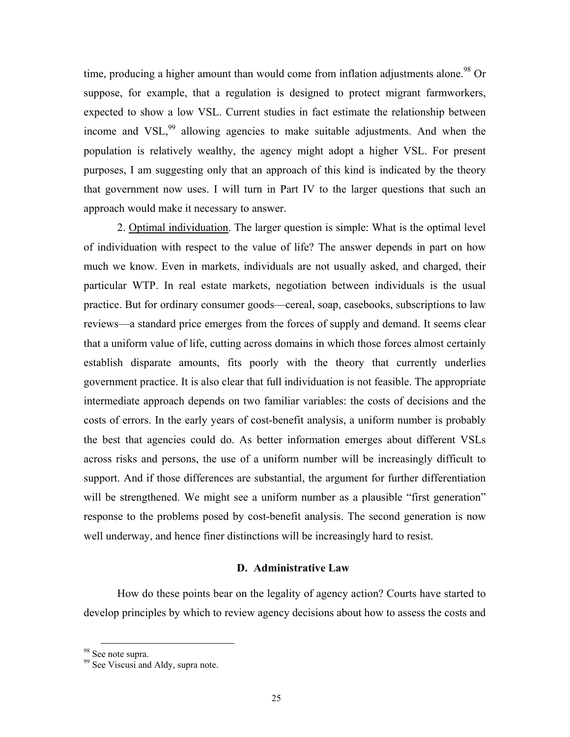time, producing a higher amount than would come from inflation adjustments alone.<sup>98</sup> Or suppose, for example, that a regulation is designed to protect migrant farmworkers, expected to show a low VSL. Current studies in fact estimate the relationship between income and  $VSL$ ,<sup>99</sup> allowing agencies to make suitable adjustments. And when the population is relatively wealthy, the agency might adopt a higher VSL. For present purposes, I am suggesting only that an approach of this kind is indicated by the theory that government now uses. I will turn in Part IV to the larger questions that such an approach would make it necessary to answer.

2. Optimal individuation. The larger question is simple: What is the optimal level of individuation with respect to the value of life? The answer depends in part on how much we know. Even in markets, individuals are not usually asked, and charged, their particular WTP. In real estate markets, negotiation between individuals is the usual practice. But for ordinary consumer goods—cereal, soap, casebooks, subscriptions to law reviews—a standard price emerges from the forces of supply and demand. It seems clear that a u niform value of life, cutting across domains in which those forces almost certainly establish disparate amounts, fits poorly with the theory that currently underlies government practice. It is also clear that full individuation is not feasible. The appropriate intermediate approach depends on two familiar variables: the costs of decisions and the costs of errors. In the early years of cost-benefit analysis, a uniform number is probably the best that agencies could do. As better information emerges about different VSLs across risks and persons, the use of a uniform number will be increasingly difficult to support. And if those differences are substantial, the argument for further differentiation will be strengthened. We might see a uniform number as a plausible "first generation" response to the problems posed by cost-benefit analysis. The second generation is now well underway, and hence finer distinctions will be increasingly hard to resist.

## **D. Administrative Law**

How do these points bear on the legality of agency action? Courts have started to develop principles by which to review agency decisions about how to assess the costs and

<span id="page-26-0"></span><sup>&</sup>lt;sup>98</sup> See note supra.

<span id="page-26-1"></span><sup>&</sup>lt;sup>99</sup> See Viscusi and Aldy, supra note.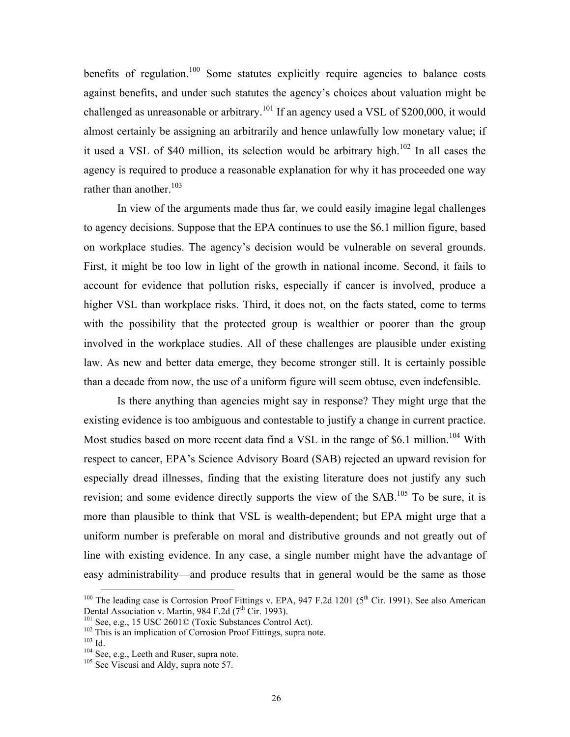benefits of regulation.<sup>100</sup> Some statutes explicitly require agencies to balance costs against benefits, and under such statutes the agency's choices about valuation might be challenged as unreasonable or arbitrary.<sup>101</sup> If an agency used a VSL of \$200,000, it would almost certainly be assigning an arbitrarily and hence unlawfully low monetary value; if it used a VSL of \$40 million, its selection would be arbitrary high.<sup>102</sup> In all cases the agency is required to produce a reasonable explanation for why it has proceeded one way rather than another.  $103$ 

In view of the arguments made thus far, we could easily imagine legal challenges to agen cy decisions. Suppose that the EPA continues to use the \$6.1 million figure, based on workplace studies. The agency's decision would be vulnerable on several grounds. First, it might be too low in light of the growth in national income. Second, it fails to account for evidence that pollution risks, especially if cancer is involved, produce a higher VSL than workplace risks. Third, it does not, on the facts stated, come to terms with the possibility that the protected group is wealthier or poorer than the group involved in the workplace studies. All of these challenges are plausible under existing law. As new and better data emerge, they become stronger still. It is certainly possible than a decade from now, the use of a uniform figure will seem obtuse, even indefensible.

uniform number is preferable on moral and distributive grounds and not greatly out of line with existing evidence. In any case, a single number might have the advantage of easy administrability—and produce results that in general would be the same as those Is there anything than agencies might say in response? They might urge that the existing evidence is too ambiguous and contestable to justify a change in current practice. Most studies based on more recent data find a VSL in the range of \$6.1 million.<sup>104</sup> With respect to cancer, EPA's Science Advisory Board (SAB) rejected an upward revision for especially dread illnesses, finding that the existing literature does not justify any such revision; and some evidence directly supports the view of the SAB.<sup>105</sup> To be sure, it is more than plausible to think that VSL is wealth-dependent; but EPA might urge that a

<span id="page-27-0"></span><sup>&</sup>lt;sup>100</sup> The leading case is Corrosion Proof Fittings v. EPA, 947 F.2d 1201 ( $5<sup>th</sup>$  Cir. 1991). See also American Dental Association v. Martin, 984 F.2d ( $7<sup>th</sup>$  Cir. 1993). <sup>101</sup> See, e.g., 15 USC 2601© (Toxic Substances Control Act).

<span id="page-27-1"></span>

<span id="page-27-2"></span> $\frac{102}{103}$  This is an implication of Corrosion Proof Fittings, supra note.  $\frac{103}{1d}$ 

<span id="page-27-3"></span>

<span id="page-27-4"></span><sup>&</sup>lt;sup>104</sup> See, e.g., Leeth and Ruser, supra note.  $104$  See, e.g., Leeth and Ruser, supra note  $57$ .

<span id="page-27-5"></span>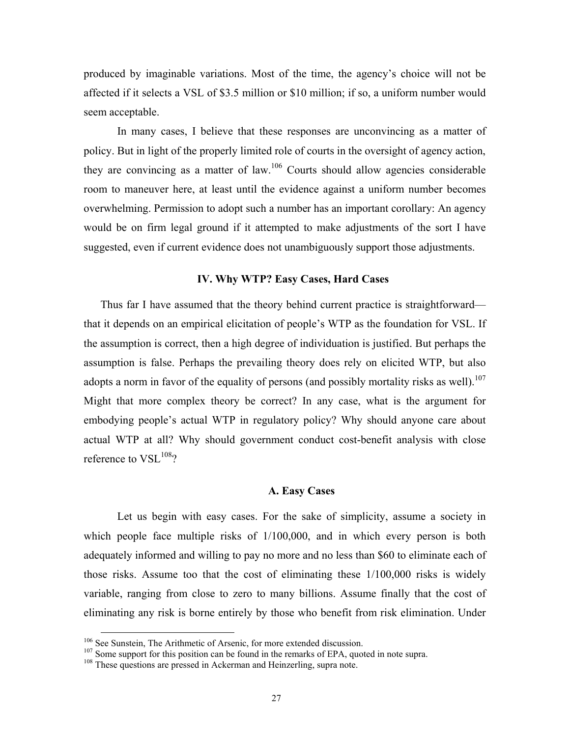produced by imaginable variations. Most of the time, the agency's choice will not be affected if it selects a VSL of \$3.5 million or \$10 million; if so, a uniform number would seem acceptable.

In many cases, I believe that these responses are unconvincing as a matter of policy. But in light of the properly limited role of courts in the oversight of agency action, they are convincing as a matter of law.[106](#page-28-0) Courts should allow agencies considerable room to maneuver here, at least until the evidence against a uniform number becomes overwh elming. Permission to adopt such a number has an important corollary: An agency would be on firm legal ground if it attempted to make adjustments of the sort I have suggested, even if current evidence does not unambiguously support those adjustments.

## **IV. Why WTP? Easy Cases, Hard Cases**

Might that more complex theory be correct? In any case, what is the argument for Thus far I have assumed that the theory behind current practice is straightforward that it depends on an empirical elicitation of people's WTP as the foundation for VSL. If the assumption is correct, then a high degree of individuation is justified. But perhaps the assumption is false. Perhaps the prevailing theory does rely on elicited WTP, but also adopts a norm in favor of the equality of persons (and possibly mortality risks as well).<sup>[107](#page-28-1)</sup> embodying people's actual WTP in regulatory policy? Why should anyone care about actual WTP at all? Why should government conduct cost-benefit analysis with close reference to VSL<sup>108</sup>?

### **A. Easy Cases**

variable, ranging from close to zero to many billions. Assume finally that the cost of eliminating any risk is borne entirely by those who benefit from risk elimination. Under Let us begin with easy cases. For the sake of simplicity, assume a society in which people face multiple risks of  $1/100,000$ , and in which every person is both adequately informed and willing to pay no more and no less than \$60 to eliminate each of those risks. Assume too that the cost of eliminating these 1/100,000 risks is widely

<span id="page-28-0"></span><sup>&</sup>lt;sup>106</sup> See Sunstein, The Arithmetic of Arsenic, for more extended discussion.

<span id="page-28-1"></span> $107$  Some support for this position can be found in the remarks of EPA, quoted in note supra.  $107$  Some support for this position can be found in the remarks of EPA, que  $108$  These questions are pressed in Ackerman and Heinzerling, supra note.

<span id="page-28-2"></span>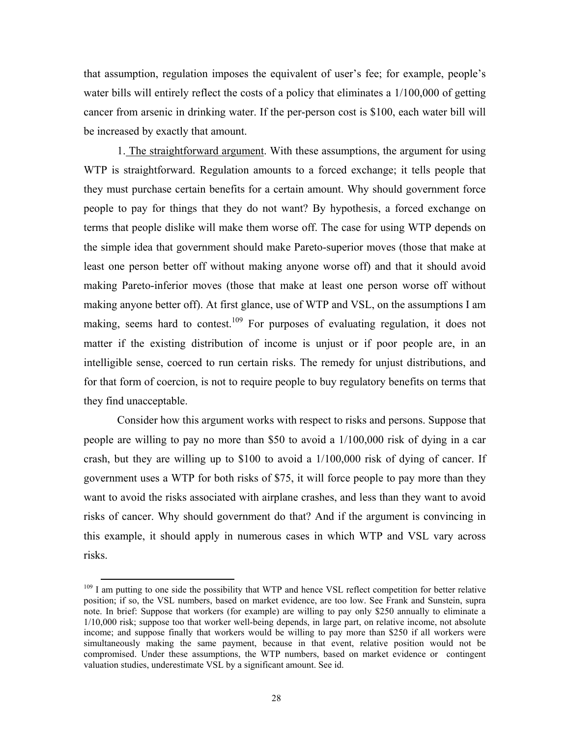that assumption, regulation imposes the equivalent of user's fee; for example, people's water bills will entirely reflect the costs of a policy that eliminates a 1/100,000 of getting cancer from arsenic in drinking water. If the per-person cost is \$100, each water bill will be increased by exactly that amount.

1. The straightforward argument. With these assumptions, the argument for using WTP is straightforward. Regulation amounts to a forced exchange; it tells people that they must purchase certain benefits for a certain amount. Why should government force people to pay for things that they do not want? By hypothesis, a forced exchange on terms that people dislike will make them worse off. The case for using WTP depends on the simple idea that government should make Pareto-superior moves (those that make at least one person better off without making anyone worse off) and that it should avoid making Pareto-inferior moves (those that make at least one person worse off without mak ing anyone better off). At first glance, use of WTP and VSL, on the assumptions I am making, seems hard to contest.<sup>109</sup> For purposes of evaluating regulation, it does not matter if the existing distribution of income is unjust or if poor people are, in an intelligible sense, coerced to run certain risks. The remedy for unjust distributions, and for that form of coercion, is not to require people to buy regulatory benefits on terms that they find unacceptable.

crash, but they are willing up to  $$100$  to avoid a  $1/100,000$  risk of dying of cancer. If government uses a WTP for both risks of \$75, it will force people to pay more than they want to avoid the risks associated with airplane crashes, and less than they want to avoid risks o f cancer. Why should government do that? And if the argument is convincing in Consider how this argument works with respect to risks and persons. Suppose that people are willing to pay no more than \$50 to avoid a 1/100,000 risk of dying in a car this example, it should apply in numerous cases in which WTP and VSL vary across risks.

<span id="page-29-0"></span><sup>&</sup>lt;sup>109</sup> I am putting to one side the possibility that WTP and hence VSL reflect competition for better relative position; if so, the VSL numbers, based on market evidence, are too low. See Frank and Sunstein, supra note. In brief: Suppose that workers (for example) are willing to pay only \$250 annually to eliminate a 1/10,000 risk; suppose too that worker well-being depends, in large part, on relative income, not absolute income; and suppose finally that workers would be willing to pay more than \$250 if all workers were simultaneously making the same payment, because in that event, relative position would not be compromised. Under these assumptions, the WTP numbers, based on market evidence or contingent valuation studies, underestimate VSL by a significant amount. See id.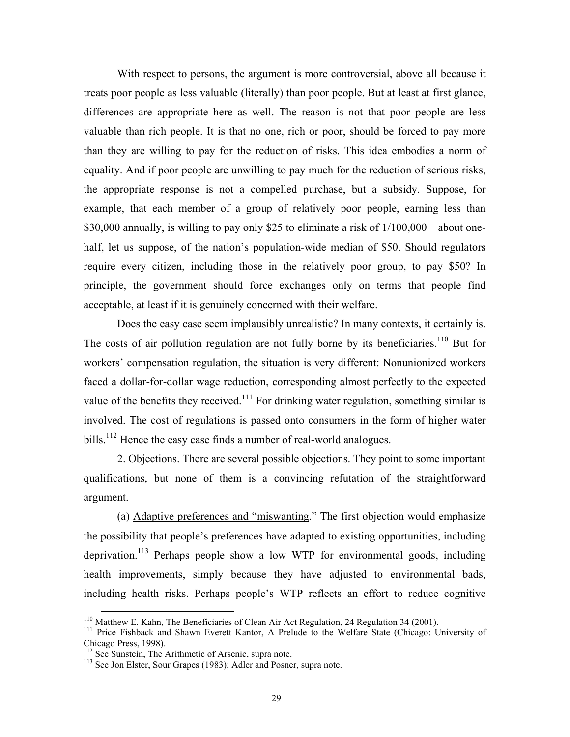With respect to persons, the argument is more controversial, above all because it treats poor people as less valuable (literally) than poor people. But at least at first glance, differences are appropriate here as well. The reason is not that poor people are less valuable than rich people. It is that no one, rich or poor, should be forced to pay more than th ey are willing to pay for the reduction of risks. This idea embodies a norm of equality. And if poor people are unwilling to pay much for the reduction of serious risks, the appropriate response is not a compelled purchase, but a subsidy. Suppose, for example, that each member of a group of relatively poor people, earning less than \$30,000 annually, is willing to pay only \$25 to eliminate a risk of 1/100,000—about onehalf, let us suppose, of the nation's population-wide median of \$50. Should regulators require every citizen, including those in the relatively poor group, to pay \$50? In principle, the government should force exchanges only on terms that people find acceptable, at least if it is genuinely concerned with their welfare.

value of the benefits they received.<sup>111</sup> For drinking water regulation, something similar is Does the easy case seem implausibly unrealistic? In many contexts, it certainly is. The costs of air pollution regulation are not fully borne by its beneficiaries.<sup>110</sup> But for workers' compensation regulation, the situation is very different: Nonunionized workers faced a dollar-for-dollar wage reduction, corresponding almost perfectly to the expected involved. The cost of regulations is passed onto consumers in the form of higher water bills.<sup>112</sup> Hence the easy case finds a number of real-world analogues.

2. Objections. There are several possible objections. They point to some important qualifications, but none of them is a convincing refutation of the straightforward argument.

(a) Adaptive preferences and "miswanting." The first objection would emphasize the possibility that people's preferences have adapted to existing opportunities, including deprivation.<sup>113</sup> Perhaps people show a low WTP for environmental goods, including health improvements, simply because they have adjusted to environmental bads, including health risks. Perhaps people's WTP reflects an effort to reduce cognitive

<span id="page-30-1"></span><span id="page-30-0"></span>

<sup>&</sup>lt;sup>110</sup> Matthew E. Kahn, The Beneficiaries of Clean Air Act Regulation, 24 Regulation 34 (2001).<br><sup>111</sup> Price Fishback and Shawn Everett Kantor, A Prelude to the Welfare State (Chicago: University of Chicago Press, 1998).

<span id="page-30-3"></span><span id="page-30-2"></span>

<sup>&</sup>lt;sup>112</sup> See Sunstein, The Arithmetic of Arsenic, supra note. <sup>113</sup> See Jon Elster, Sour Grapes (1983); Adler and Posner, supra note.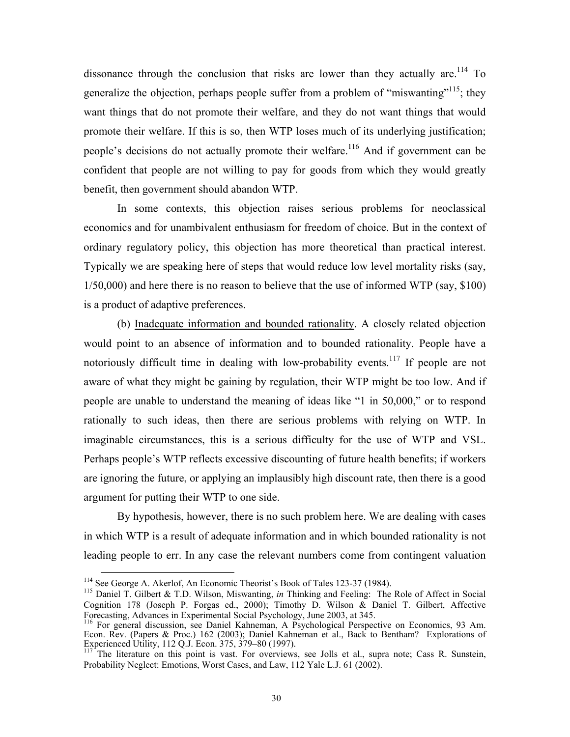dissonance through the conclusion that risks are lower than they actually are.<sup>114</sup> To generalize the objection, perhaps people suffer from a problem of "miswanting"<sup>115</sup>; they want things that do not promote their welfare, and they do not want things that would promote their welfare. If this is so, then WTP loses much of its underlying justification; people's decisions do not actually promote their welfare.<sup>116</sup> And if government can be confident that people are not willing to pay for goods from which they would greatly benefit, then government should abandon WTP.

In some contexts, this objection raises serious problems for neoclassical economics and for unambivalent enthusiasm for freedom of choice. But in the context of ordinary regulatory policy, this objection has more theoretical than practical interest. Typically we are speaking here of steps that would reduce low level mortality risks (say, 1/50,000) and here there is no reason to believe that the use of informed WTP (say, \$100) is a product of adaptive preferences.

(b) Inadequate information and bounded rationality. A closely related objection would point to an absence of information and to bounded rationality. People have a notoriously difficult time in dealing with low-probability events.<sup>117</sup> If people are not aware of what they might be gaining by regulation, their WTP might be too low. And if people are unable to understand the meaning of ideas like "1 in 50,000," or to respond rationally to such ideas, then there are serious problems with relying on WTP. In imaginable circumstances, this is a serious difficulty for the use of WTP and VSL. Perhap s people's WTP reflects excessive discounting of future health benefits; if workers argument for putting their WTP to one side. are ignoring the future, or applying an implausibly high discount rate, then there is a good

By hypothesis, however, there is no such problem here. We are dealing with cases in which WTP is a result of adequate information and in which bounded rationality is not leading people to err. In any case the relevant numbers come from contingent valuation

<span id="page-31-0"></span> <sup>114</sup> See George A. Akerlof, An Economic Theorist's Book of Tales 123-37 (1984).

<span id="page-31-1"></span><sup>115</sup> Daniel T. Gilbert & T.D. Wilson, Miswanting, *in* Thinking and Feeling: The Role of Affect in Social Cognition 178 (Joseph P. Forgas ed., 2000); Timothy D. Wilson & Daniel T. Gilbert, Affective Forecasting, Advances in Experimental Social Psychology, June 2003, at 345.<br><sup>116</sup> For general discussion, see Daniel Kahneman, A Psychological Perspective on Economic

<span id="page-31-2"></span><sup>&</sup>lt;sup>116</sup> For general discussion, see Daniel Kahneman, A Psychological Perspective on Economics, 93 Am.<br>Econ. Rev. (Papers & Proc.) 162 (2003); Daniel Kahneman et al., Back to Bentham? Explorations of 2 Q.J. Econ. 375, 379–80 (1997). Experienced Utility, 112 Q.J. Econ. 375, 379–80 (1997).<br><sup>117</sup> The literature on this point is vast. For overviews, see Jolls et al., supra note; Cass R. Sunstein, con. Rev. (Papers & Proc.) 162 (2003); Daniel Kahneman et al., Back to Bentham? Explorations of

<span id="page-31-3"></span>Probability Neglect: Emotions, Worst Cases, and Law, 112 Yale L.J. 61 (2002).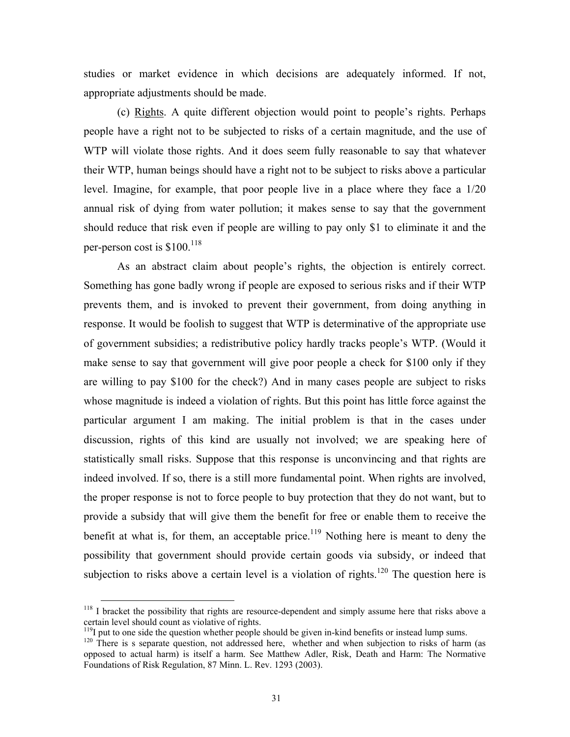studies or market evidence in which decisions are adequately informed. If not, appropriate adjustments should be made.

(c) Rights. A quite different objection would point to people's rights. Perhaps people have a right not to be subjected to risks of a certain magnitude, and the use of WTP will violate those rights. And it does seem fully reasonable to say that whatever their WTP, human beings should have a right not to be subject to risks above a particular level. Imagine, for example, that poor people live in a place where they face a 1/20 annual risk of dying from water pollution; it makes sense to say that the government should reduce that risk even if people are willing to pay only \$1 to eliminate it and the per-person cost is  $$100.<sup>118</sup>$ 

prevents them, and is invoked to prevent their government, from doing anything in respons e. It would be foolish to suggest that WTP is determinative of the appropriate use the proper response is not to force people to buy protection that they do not want, but to provide a subsidy that will give them the benefit for free or enable them to receive the subjection to risks above a certain level is a violation of rights.<sup>120</sup> The question here is As an abstract claim about people's rights, the objection is entirely correct. Something has gone badly wrong if people are exposed to serious risks and if their WTP of government subsidies; a redistributive policy hardly tracks people's WTP. (Would it make sense to say that government will give poor people a check for \$100 only if they are willing to pay \$100 for the check?) And in many cases people are subject to risks whose magnitude is indeed a violation of rights. But this point has little force against the particular argument I am making. The initial problem is that in the cases under discussion, rights of this kind are usually not involved; we are speaking here of statistically small risks. Suppose that this response is unconvincing and that rights are indeed involved. If so, there is a still more fundamental point. When rights are involved, benefit at what is, for them, an acceptable price.<sup>119</sup> Nothing here is meant to deny the possibility that government should provide certain goods via subsidy, or indeed that

<span id="page-32-0"></span> $118$  I bracket the possibility that rights are resource-dependent and simply assume here that risks above a certain level should count as violative of rights.

<span id="page-32-2"></span><span id="page-32-1"></span>

<sup>&</sup>lt;sup>119</sup>I put to one side the question whether people should be given in-kind benefits or instead lump sums.<br><sup>120</sup> There is s separate question, not addressed here, whether and when subjection to risks of harm (as opposed to actual harm) is itself a harm. See Matthew Adler, Risk, Death and Harm: The Normative Foundations of Risk Regulation, 87 Minn. L. Rev. 1293 (2003).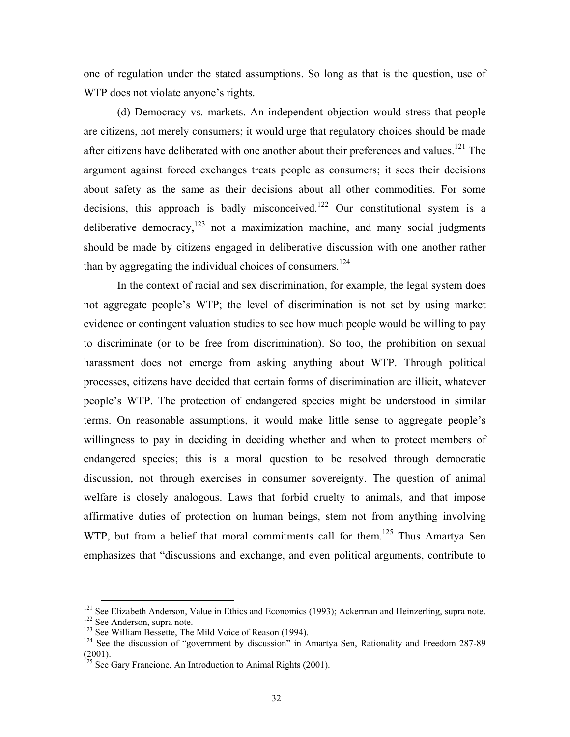one of regulation under the stated assumptions. So long as that is the question, use of WTP does not violate anyone's rights.

(d) Democracy vs. markets. An independent objection would stress that people are citizens, not merely consumers; it would urge that regulatory choices should be made after citizens have deliberated with one another about their preferences and values.<sup>121</sup> The argument against forced exchanges treats people as consumers; it sees their decisions about safety as the same as their decisions about all other commodities. For some decisions, this approach is badly misconceived.<sup>122</sup> Our constitutional system is a deliberative democracy, $123$  not a maximization machine, and many social judgments should be made by citizens engaged in deliberative discussion with one another rather than by aggregating the individual choices of consumers.<sup>124</sup>

In the context of racial and sex discrimination, for example, the legal system does not aggregate people's WTP; the level of discrimination is not set by using market evidence or contingent valuation studies to see how much people would be willing to pay to discriminate (or to be free from discrimination). So too, the prohibition on sexual harassment does not emerge from asking anything about WTP. Through political processes, citizens have decided that certain forms of discrimination are illicit, whatever people's WTP. The protection of endangered species might be understood in similar terms. On reasonable assumptions, it would make little sense to aggregate people's willingness to pay in deciding in deciding whether and when to protect members of endangered species; this is a moral question to be resolved through democratic discussion, not through exercises in consumer sovereignty. The question of animal welfare is closely analogous. Laws that forbid cruelty to animals, and that impose affirmative duties of protection on human beings, stem not from anything involving WTP, but from a belief that moral commitments call for them.<sup>125</sup> Thus Amartya Sen emphasizes that "discussions and exchange, and even political arguments, contribute to

<span id="page-33-1"></span><span id="page-33-0"></span><sup>&</sup>lt;sup>121</sup> See Elizabeth Anderson, Value in Ethics and Economics (1993); Ackerman and Heinzerling, supra note. <sup>122</sup> See Anderson, supra note.<br><sup>123</sup> See William Bessette, The Mild Voice of Reason (1994).<br><sup>124</sup> See the discussion of "government by discussion" in Amartya Sen, Rationality and Freedom 287-89

<span id="page-33-2"></span>

<span id="page-33-3"></span><sup>(2001).</sup> 

<span id="page-33-4"></span><sup>.</sup>  $125$  See Gary Francione, An Introduction to Animal Rights (2001)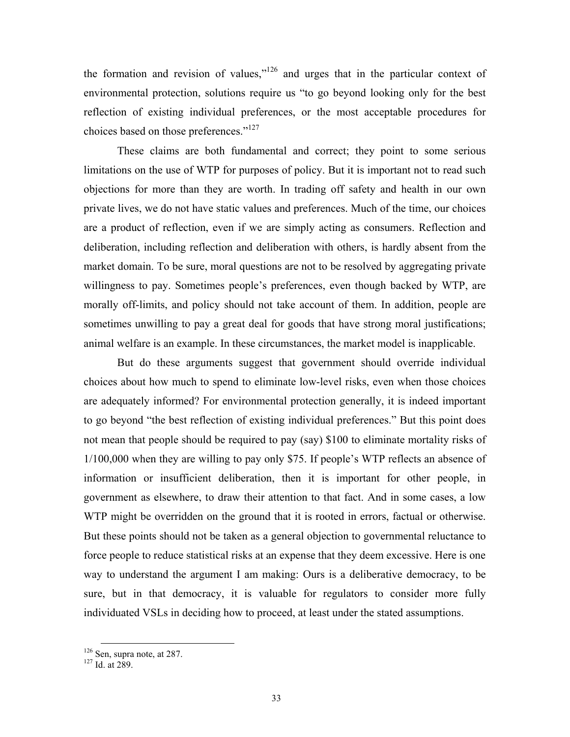the formation and revision of values,"[126](#page-34-0) and urges that in the particular context of environmental protection, solutions require us "to go beyond looking only for the best reflecti on of existing individual preferences, or the most acceptable procedures for choices based on those preferences."[127](#page-34-1)

market domain. To be sure, moral questions are not to be resolved by aggregating private willing ness to pay. Sometimes people's preferences, even though backed by WTP, are These claims are both fundamental and correct; they point to some serious limitations on the use of WTP for purposes of policy. But it is important not to read such objections for more than they are worth. In trading off safety and health in our own private lives, we do not have static values and preferences. Much of the time, our choices are a product of reflection, even if we are simply acting as consumers. Reflection and deliberation, including reflection and deliberation with others, is hardly absent from the morally off-limits, and policy should not take account of them. In addition, people are sometimes unwilling to pay a great deal for goods that have strong moral justifications; animal welfare is an example. In these circumstances, the market model is inapplicable.

way to understand the argument I am making: Ours is a deliberative democracy, to be sure, but in that democracy, it is valuable for regulators to consider more fully in dividuated VSLs in deciding how to proceed, at least under the stated assumptions. But do these arguments suggest that government should override individual choices about how much to spend to eliminate low-level risks, even when those choices are adequately informed? For environmental protection generally, it is indeed important to go beyond "the best reflection of existing individual preferences." But this point does not mean that people should be required to pay (say) \$100 to eliminate mortality risks of 1/100,000 when they are willing to pay only \$75. If people's WTP reflects an absence of information or insufficient deliberation, then it is important for other people, in government as elsewhere, to draw their attention to that fact. And in some cases, a low WTP might be overridden on the ground that it is rooted in errors, factual or otherwise. But these points should not be taken as a general objection to governmental reluctance to force people to reduce statistical risks at an expense that they deem excessive. Here is one

<span id="page-34-0"></span><sup>&</sup>lt;sup>126</sup> Sen, supra note, at 287.<br><sup>127</sup> Id. at 289.

<span id="page-34-1"></span>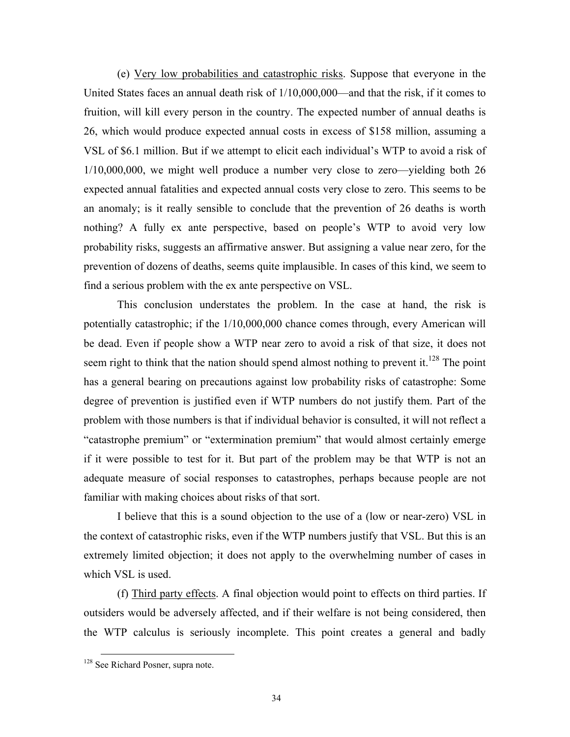(e) Very low probabilities and catastrophic risks. Suppose that everyone in the United States faces an annual death risk of 1/10,000,000—and that the risk, if it comes to fruition, will kill every person in the country. The expected number of annual deaths is 26, which would produce expected annual costs in excess of \$158 million, assuming a VSL of \$6.1 million. But if we attempt to elicit each individual's WTP to avoid a risk of 1/10,000,000, we might well produce a number very close to zero—yielding both 26 expected annual fatalities and expected annual costs very close to zero. This seems to be an anomaly; is it really sensible to conclude that the prevention of 26 deaths is worth nothing? A fully ex ante perspective, based on people's WTP to avoid very low probability risks, suggests an affirmative answer. But assigning a value near zero, for the prevention of dozens of deaths, seems quite implausible. In cases of this kind, we seem to find a serious problem with the ex ante perspective on VSL.

seem right to think that the nation should spend almost nothing to prevent it.<sup>128</sup> The point This conclusion understates the problem. In the case at hand, the risk is potentially catastrophic; if the 1/10,000,000 chance comes through, every American will be dead. Even if people show a WTP near zero to avoid a risk of that size, it does not has a general bearing on precautions against low probability risks of catastrophe: Some degree of prevention is justified even if WTP numbers do not justify them. Part of the problem with those numbers is that if individual behavior is consulted, it will not reflect a "catastrophe premium" or "extermination premium" that would almost certainly emerge if it were possible to test for it. But part of the problem may be that WTP is not an adequate measure of social responses to catastrophes, perhaps because people are not familiar with making choices about risks of that sort.

I believe that this is a sound objection to the use of a (low or near-zero) VSL in the context of catastrophic risks, even if the WTP numbers justify that VSL. But this is an extremely limited objection; it does not apply to the overwhelming number of cases in which VSL is used.

(f) Third party effects. A final objection would point to effects on third parties. If outsiders would be adversely affected, and if their welfare is not being considered, then the WTP calculus is seriously incomplete. This point creates a general and badly

<span id="page-35-0"></span><sup>&</sup>lt;sup>128</sup> See Richard Posner, supra note.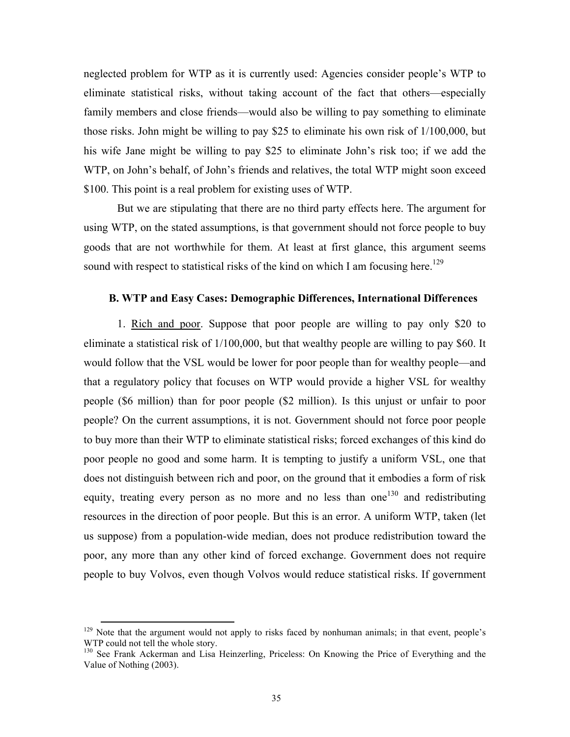neglect ed problem for WTP as it is currently used: Agencies consider people's WTP to eliminate statistical risks, without taking account of the fact that others—especially family members and close friends—would also be willing to pay something to eliminate those risks. John might be willing to pay \$25 to eliminate his own risk of 1/100,000, but his wife Jane might be willing to pay \$25 to eliminate John's risk too; if we add the WTP, on John's behalf, of John's friends and relatives, the total WTP might soon exceed \$100. This point is a real problem for existing uses of WTP.

But we are stipulating that there are no third party effects here. The argument for using WTP, on the stated assumptions, is that government should not force people to buy goods that are not worthwhile for them. At least at first glance, this argument seems sound with respect to statistical risks of the kind on which I am focusing here.<sup>129</sup>

#### **B . WTP and Easy Cases: Demographic Differences, International Differences**

1. Rich and poor. Suppose that poor people are willing to pay only \$20 to eliminate a statistical risk of 1/100,000, but that wealthy people are willing to pay \$60. It would follow that the VSL would be lower for poor people than for wealthy people—and that a regulatory policy that focuses on WTP would provide a higher VSL for wealthy people (\$6 million) than for poor people (\$2 million). Is this unjust or unfair to poor people? On the current assumptions, it is not. Government should not force poor people to buy more than their WTP to eliminate statistical risks; forced exchanges of this kind do poor people no good and some harm. It is tempting to justify a uniform VSL, one that does not distinguish between rich and poor, on the ground that it embodies a form of risk equity, treating every person as no more and no less than one<sup>130</sup> and redistributing resourc es in the direction of poor people. But this is an error. A uniform WTP, taken (let people to buy Volvos, even though Volvos would reduce statistical risks. If government us suppose) from a population-wide median, does not produce redistribution toward the poor, any more than any other kind of forced exchange. Government does not require

<span id="page-36-0"></span>WTP could not tell the whole story.<br><sup>130</sup> See Frank Ackerman and Lisa Heinzerling, Priceless: On Knowing the Price of Everything and the  $129$  Note that the argument would not apply to risks faced by nonhuman animals; in that event, people's

<span id="page-36-1"></span>Value of Nothing (2003).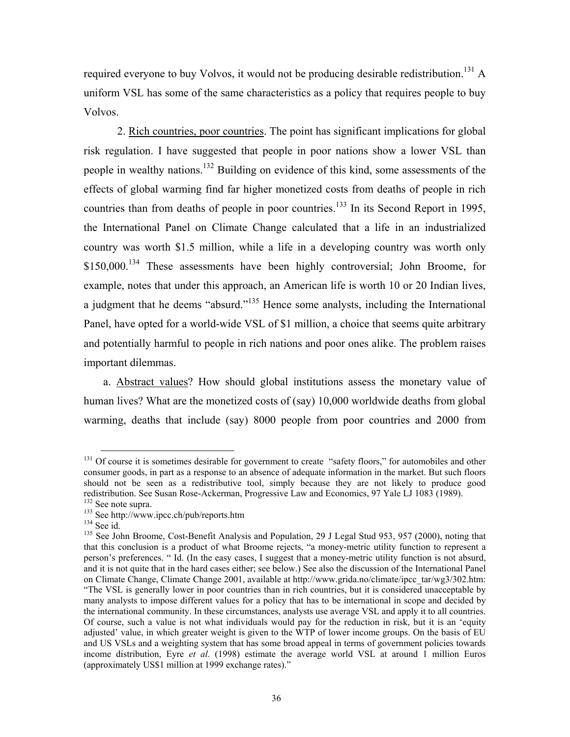required everyone to buy Volvos, it would not be producing desirable redistribution.<sup>131</sup> A uniform VSL has some of the same characteristics as a policy that requires people to buy Volvos.

2. Rich countries, poor countries. The point has significant implications for global risk regulation. I have suggested that people in poor nations show a lower VSL than people in wealthy nations.[132](#page-37-1) Building on evidence of this kind, some assessments of the effects of global warming find far higher monetized costs from deaths of people in rich countries than from deaths of people in poor countries.<sup>133</sup> In its Second Report in 1995,  $$150,000$ .<sup>134</sup> These assessments have been highly controversial; John Broome, for example, notes that under this approach, an American life is worth 10 or 20 Indian lives, a judgment that he deems "absurd."<sup>135</sup> Hence some analysts, including the International Panel, h ave opted for a world-wide VSL of \$1 million, a choice that seems quite arbitrary the International Panel on Climate Change calculated that a life in an industrialized country was worth \$1.5 million, while a life in a developing country was worth only and potentially harmful to people in rich nations and poor ones alike. The problem raises important dilemmas.

 a. Abstract values? How should global institutions assess the monetary value of human lives? What are the monetized costs of (say) 10,000 worldwide deaths from global warming, deaths that include (say) 8000 people from poor countries and 2000 from

<span id="page-37-0"></span><sup>&</sup>lt;sup>131</sup> Of course it is sometimes desirable for government to create "safety floors," for automobiles and other consumer goods, in part as a response to an absence of adequate information in the market. But such floors should not be seen as a redistributive tool, simply because they are not likely to produce good redistribution. See Susan Rose-Ackerman, Progressive Law and Economics, 97 Yale LJ 1083 (1989).<br><sup>132</sup> See note supra.<br><sup>133</sup> See http://www.ipcc.ch/pub/reports.htm

<span id="page-37-2"></span><span id="page-37-1"></span>

<span id="page-37-3"></span> $134$  See id.

<span id="page-37-4"></span><sup>&</sup>lt;sup>135</sup> See John Broome, Cost-Benefit Analysis and Population, 29 J Legal Stud 953, 957 (2000), noting that person's preferences. " Id. (In the easy cases, I suggest that a money-metric utility function is not absurd, and it is not quite that in the hard cases either; see below.) See also the discussion of the International Panel on Climate Change, Climate Change 2001, available at http://www.grida.no/climate/ipcc\_tar/wg3/302.htm: that this conclusion is a product of what Broome rejects, "a money-metric utility function to represent a "The VSL is generally lower in poor countries than in rich countries, but it is considered unacceptable by many analysts to impose different values for a policy that has to be international in scope and decided by the international community. In these circumstances, analysts use average VSL and apply it to all countries. Of course, such a value is not what individuals would pay for the reduction in risk, but it is an 'equity and US VSLs and a weighting system that has some broad appeal in terms of government policies towards (approximately US\$1 million at 1999 exchange rates)." adjusted' value, in which greater weight is given to the WTP of lower income groups. On the basis of EU income distribution, Eyre *et al*. (1998) estimate the average world VSL at around 1 million Euros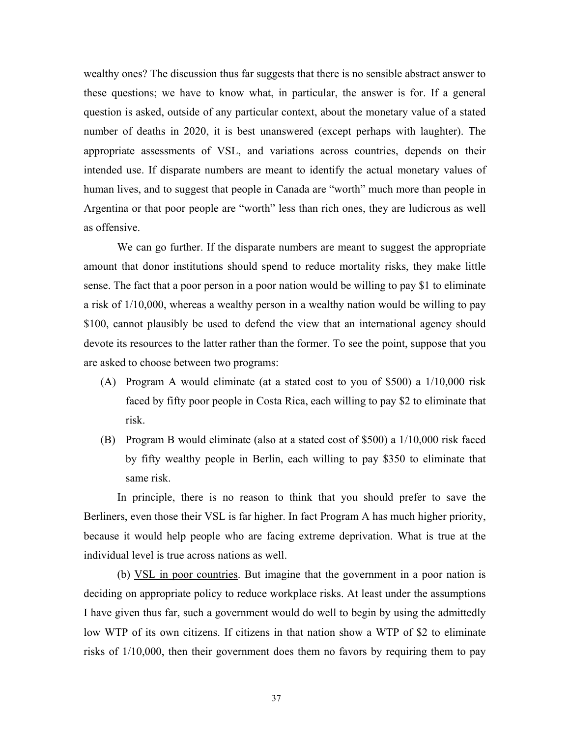wealthy ones? The discussion thus far suggests that there is no sensible abstract answer to these questions; we have to know what, in particular, the answer is for. If a general question is asked, outside of any particular context, about the monetary value of a stated numbe r of deaths in 2020, it is best unanswered (except perhaps with laughter). The appropriate assessments of VSL, and variations across countries, depends on their intended use. If disparate numbers are meant to identify the actual monetary values of human lives, and to suggest that people in Canada are "worth" much more than people in Argentina or that poor people are "worth" less than rich ones, they are ludicrous as well as offensive.

are asked to choose between two programs: We can go further. If the disparate numbers are meant to suggest the appropriate amount that donor institutions should spend to reduce mortality risks, they make little sense. The fact that a poor person in a poor nation would be willing to pay \$1 to eliminate a risk of 1/10,000, whereas a wealthy person in a wealthy nation would be willing to pay \$100, cannot plausibly be used to defend the view that an international agency should devote its resources to the latter rather than the former. To see the point, suppose that you

- (A) Program A would eliminate (at a stated cost to you of \$500) a 1/10,000 risk faced by fifty poor people in Costa Rica, each willing to pay \$2 to eliminate that risk.
- (B) Program B would eliminate (also at a stated cost of \$500) a 1/10,000 risk faced by fifty wealthy people in Berlin, each willing to pay \$350 to eliminate that same risk.

In principle, there is no reason to think that you should prefer to save the Berliners, even those their VSL is far higher. In fact Program A has much higher priority, because it would help people who are facing extreme deprivation. What is true at the individual level is true across nations as well.

(b) VSL in poor countries. But imagine that the government in a poor nation is deciding on appropriate policy to reduce workplace risks. At least under the assumptions I have given thus far, such a government would do well to begin by using the admittedly low WTP of its own citizens. If citizens in that nation show a WTP of \$2 to eliminate risks of 1/10,000, then their government does them no favors by requiring them to pay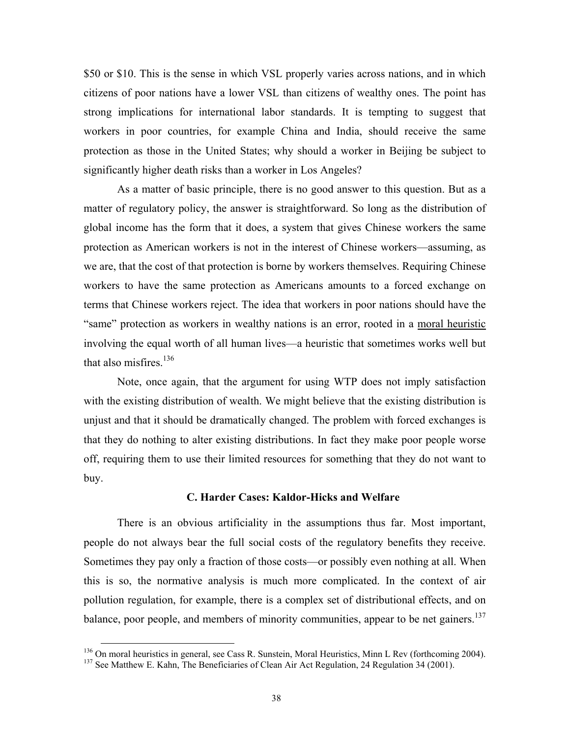\$50 or \$10. This is the sense in which VSL properly varies across nations, and in which citizens of poor nations have a lower VSL than citizens of wealthy ones. The point has strong implications for international labor standards. It is tempting to suggest that workers in poor countries, for example China and India, should receive the same protection as those in the United States; why should a worker in Beijing be subject to significantly higher death risks than a worker in Los Angeles?

As a matter of basic principle, there is no good answer to this question. But as a matter of regulatory policy, the answer is straightforward. So long as the distribution of global income has the form that it does, a system that gives Chinese workers the same protection as American workers is not in the interest of Chinese workers—assuming, as we are, that the cost of that protection is borne by workers themselves. Requiring Chinese workers to have the same protection as Americans amounts to a forced exchange on terms that Chinese workers reject. The idea that workers in poor nations should have the "same" protection as workers in wealthy nations is an error, rooted in a moral heuristic involving the equal worth of all human lives—a heuristic that sometimes works well but that also misfires.<sup>[136](#page-39-0)</sup>

Note, once again, that the argument for using WTP does not imply satisfaction with the existing distribution of wealth. We might believe that the existing distribution is unjust and that it should be dramatically changed. The problem with forced exchanges is that they do nothing to alter existing distributions. In fact they make poor people worse off, requ iring them to use their limited resources for something that they do not want to buy.

# **C. Harder Cases: Kaldor-Hicks and Welfare**

Sometimes they pay only a fraction of those costs—or possibly even nothing at all. When this is so, the normative analysis is much more complicated. In the context of air There is an obvious artificiality in the assumptions thus far. Most important, people do not always bear the full social costs of the regulatory benefits they receive. pollution regulation, for example, there is a complex set of distributional effects, and on balance, poor people, and members of minority communities, appear to be net gainers.<sup>137</sup>

<span id="page-39-0"></span>1

<span id="page-39-1"></span><sup>&</sup>lt;sup>136</sup> On moral heuristics in general, see Cass R. Sunstein, Moral Heuristics, Minn L Rev (forthcoming 2004). <sup>137</sup> See Matthew E. Kahn, The Beneficiaries of Clean Air Act Regulation, 24 Regulation 34 (2001).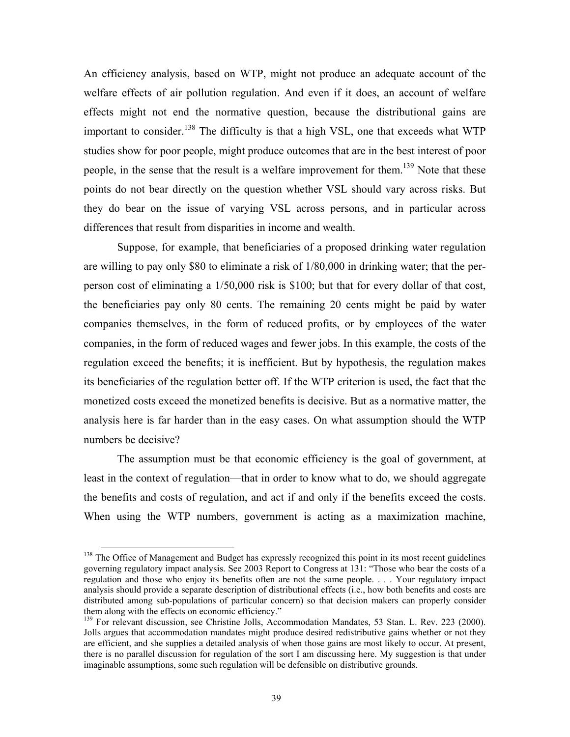An efficiency analysis, based on WTP, might not produce an adequate account of the welfare effects of air pollution regulation. And even if it does, an account of welfare effects might not end the normative question, because the distributional gains are important to consider.<sup>138</sup> The difficulty is that a high VSL, one that exceeds what WTP studies show for poor people, might produce outcomes that are in the best interest of poor people, in the sense that the result is a welfare improvement for them.<sup>139</sup> Note that these points do not bear directly on the question whether VSL should vary across risks. But they do bear on the issue of varying VSL across persons, and in particular across differences that result from disparities in income and wealth.

regulation exceed the benefits; it is inefficient. But by hypothesis, the regulation makes its ben eficiaries of the regulation better off. If the WTP criterion is used, the fact that the Suppose, for example, that beneficiaries of a proposed drinking water regulation are willing to pay only \$80 to eliminate a risk of 1/80,000 in drinking water; that the perperson cost of eliminating a 1/50,000 risk is \$100; but that for every dollar of that cost, the beneficiaries pay only 80 cents. The remaining 20 cents might be paid by water companies themselves, in the form of reduced profits, or by employees of the water companies, in the form of reduced wages and fewer jobs. In this example, the costs of the monetized costs exceed the monetized benefits is decisive. But as a normative matter, the analysis here is far harder than in the easy cases. On what assumption should the WTP numbers be decisive?

least in the context of regulation—that in order to know what to do, we should aggregate the benefits and costs of regulation, and act if and only if the benefits exceed the costs. When using the WTP numbers, government is acting as a maximization machine, The assumption must be that economic efficiency is the goal of government, at

<span id="page-40-0"></span><sup>&</sup>lt;sup>138</sup> The Office of Management and Budget has expressly recognized this point in its most recent guidelines governing regulatory impact analysis. See 2003 Report to Congress at 131: "Those who bear the costs of a regulation and those who enjoy its benefits often are not the same people. . . . Your regulatory impact distributed among sub-populations of particular concern) so that decision makers can properly consider analysis should provide a separate description of distributional effects (i.e., how both benefits and costs are them along with the effects on economic efficiency."

<span id="page-40-1"></span><sup>&</sup>lt;sup>139</sup> For relevant discussion, see Christine Jolls, Accommodation Mandates, 53 Stan. L. Rev. 223 (2000). Jolls argues that accommodation mandates might produce desired redistributive gains whether or not they are efficient, and she supplies a detailed analysis of when those gains are most likely to occur. At present, there is no parallel discussion for regulation of the sort I am discussing here. My suggestion is that under imaginable assumptions, some such regulation will be defensible on distributive grounds.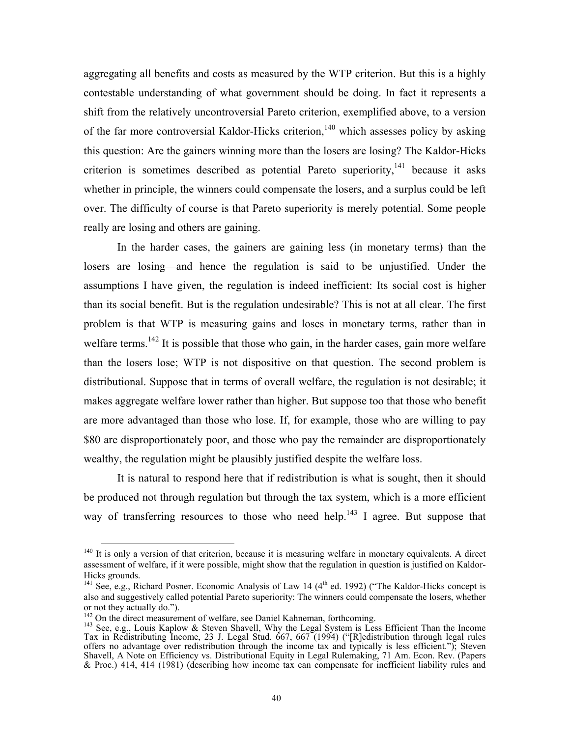<span id="page-41-3"></span>aggregating all benefits and costs as measured by the WTP criterion. But this is a highly contestable understanding of what government should be doing. In fact it represents a shift from the relatively uncontroversial Pareto criterion, exemplified above, to a version of the far more controversial Kaldor-Hicks criterion,<sup>140</sup> which assesses policy by asking this question: Are the gainers winning more than the losers are losing? The Kaldor-Hicks criterion is sometimes described as potential Pareto superiority, $141$  because it asks whether in principle, the winners could compensate the losers, and a surplus could be left over. The difficulty of course is that Pareto superiority is merely potential. Some people really are losing and others are gaining.

In the harder cases, the gainers are gaining less (in monetary terms) than the losers are losing—and hence the regulation is said to be unjustified. Under the assumptions I have given, the regulation is indeed inefficient: Its social cost is higher than its social benefit. But is the regulation undesirable? This is not at all clear. The first problem is that WTP is measuring gains and loses in monetary terms, rather than in welfare terms.<sup>142</sup> It is possible that those who gain, in the harder cases, gain more welfare than the losers lose; WTP is not dispositive on that question. The second problem is distributional. Suppose that in terms of overall welfare, the regulation is not desirable; it makes aggregate welfare lower rather than higher. But suppose too that those who benefit are more advantaged than those who lose. If, for example, those who are willing to pay \$80 are disproportionately poor, and those who pay the remainder are disproportionately wealthy , the regulation might be plausibly justified despite the welfare loss.

It is natural to respond here that if redistribution is what is sought, then it should be produced not through regulation but through the tax system, which is a more efficient way of transferring resources to those who need help.<sup>143</sup> I agree. But suppose that

<span id="page-41-0"></span><sup>&</sup>lt;sup>140</sup> It is only a version of that criterion, because it is measuring welfare in monetary equivalents. A direct assessment of welfare, if it were possible, might show that the regulation in question is justified on Kaldor-Hicks grounds.<br><sup>141</sup> See, e.g., Richard Posner. Economic Analysis of Law 14 (4<sup>th</sup> ed. 1992) ("The Kaldor-Hicks concept is

<span id="page-41-1"></span>also and suggestively called potential Pareto superiority: The winners could compensate the losers, whether or not they actually do.").

<span id="page-41-2"></span> $142$  On the direct measurement of welfare, see Daniel Kahneman, forthcoming.

<sup>143</sup> ability rules and See, e.g., Louis Kaplow & Steven Shavell, Why the Legal System is Less Efficient Than the Income Tax in Redistributing Income, 23 J. Legal Stud. 667, 667 (1994) ("[R]edistribution through legal rules offers no advantage over redistribution through the income tax and typically is less efficient."); Steven Shavell, A Note on Efficiency vs. Distributional Equity in Legal Rulemaking, 71 Am. Econ. Rev. (Papers & Proc.) 414, 414 (1981) (describing how income tax can compensate for inefficient li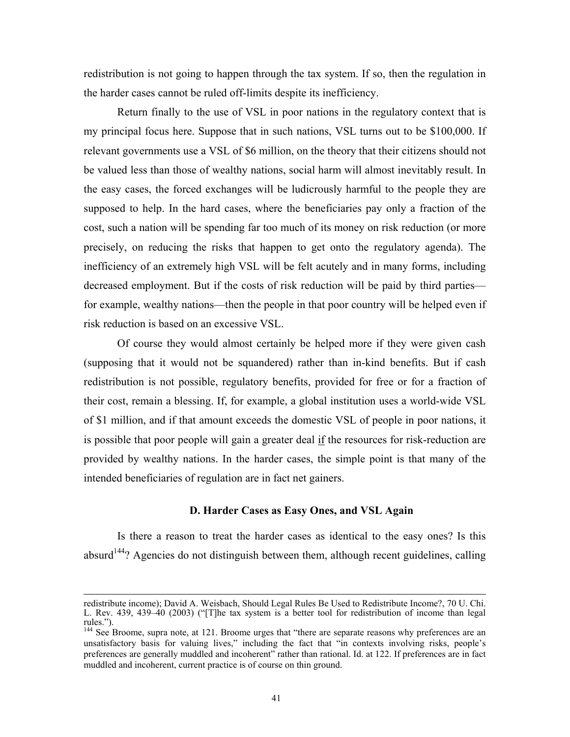redistribution is not going to happen through the tax system. If so, then the regulation in the harder cases cannot be ruled off-limits despite its inefficiency.

Return finally to the use of VSL in poor nations in the regulatory context that is my principal focus here. Suppose that in such nations, VSL turns out to be \$100,000. If relevant governments use a VSL of \$6 million, on the theory that their citizens should not be valued less than those of wealthy nations, social harm will almost inevitably result. In the easy cases, the forced exchanges will be ludicrously harmful to the people they are supposed to help. In the hard cases, where the beneficiaries pay only a fraction of the cost, such a nation will be spending far too much of its money on risk reduction (or more precisely, on reducing the risks that happen to get onto the regulatory agenda). The inefficiency of an extremely high VSL will be felt acutely and in many forms, including decreased employment. But if the costs of risk reduction will be paid by third parties for example, wealthy nations—then the people in that poor country will be helped even if risk reduction is based on an excessive VSL.

Of course they would almost certainly be helped more if they were given cash (supposing that it would not be squandered) rather than in-kind benefits. But if cash redistribution is not possible, regulatory benefits, provided for free or for a fraction of their cost, remain a blessing. If, for example, a global institution uses a world-wide VSL of \$1 million, and if that amount exceeds the domestic VSL of people in poor nations, it is possible that poor people will gain a greater deal if the resources for risk-reduction are provided by wealthy nations. In the harder cases, the simple point is that many of the intende d beneficiaries of regulation are in fact net gainers.

#### **D. Harder Cases as Easy Ones, and VSL Again**

Is there a reason to treat the harder cases as identical to the easy ones? Is this absurd<sup>144</sup>? Agencies do not distinguish between them, although recent guidelines, calling

redistribute income); David A. Weisbach, Should Legal Rules Be Used to Redistribute Income?, 70 U. Chi. L. Rev. 439, 439–40 (2003) ("[T]he tax system is a better tool for redistribution of income than legal rules.").

<span id="page-42-0"></span><sup>&</sup>lt;sup>144</sup> See Broome, supra note, at 121. Broome urges that "there are separate reasons why preferences are an unsatisfactory basis for valuing lives," including the fact that "in contexts involving risks, people's preferences are generally muddled and incoherent" rather than rational. Id. at 122. If preferences are in fact muddled and incoherent, current practice is of course on thin ground.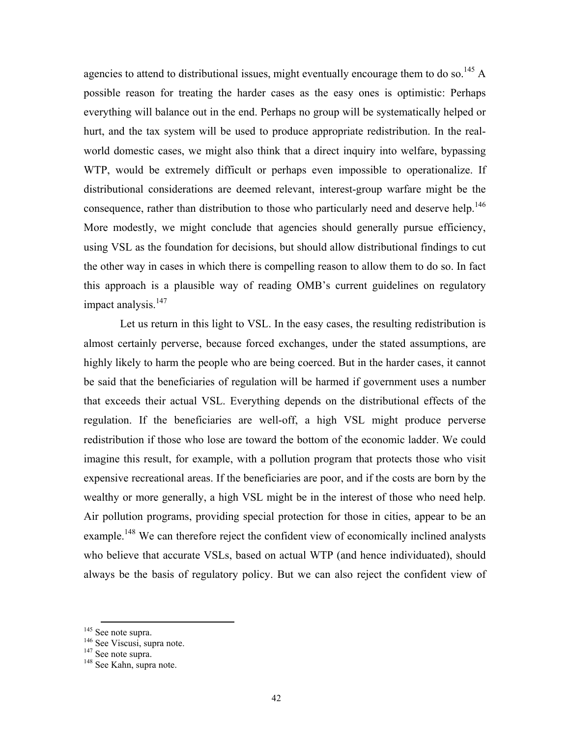agencies to attend to distributional issues, might eventually encourage them to do so.<sup>145</sup> A possible reason for treating the harder cases as the easy ones is optimistic: Perhaps everyth ing will balance out in the end. Perhaps no group will be systematically helped or hurt, and the tax system will be used to produce appropriate redistribution. In the realworld domestic cases, we might also think that a direct inquiry into welfare, bypassing WTP, would be extremely difficult or perhaps even impossible to operationalize. If distributional considerations are deemed relevant, interest-group warfare might be the consequence, rather than distribution to those who particularly need and deserve help.<sup>146</sup> More modestly, we might conclude that agencies should generally pursue efficiency, using VSL as the foundation for decisions, but should allow distributional findings to cut the other way in cases in which there is compelling reason to allow them to do so. In fact this approach is a plausible way of reading OMB's current guidelines on regulatory impact analysis.<sup>147</sup>

Let us return in this light to VSL. In the easy cases, the resulting redistribution is almost certainly perverse, because forced exchanges, under the stated assumptions, are expensive recreational areas. If the beneficiaries are poor, and if the costs are born by the wealthy or more generally, a high VSL might be in the interest of those who need help. Air pollution programs, providing special protection for those in cities, appear to be an example.<sup>148</sup> We can therefore reject the confident view of economically inclined analysts always be the basis of regulatory policy. But we can also reject the confident view of highly likely to harm the people who are being coerced. But in the harder cases, it cannot be said that the beneficiaries of regulation will be harmed if government uses a number that exceeds their actual VSL. Everything depends on the distributional effects of the regulation. If the beneficiaries are well-off, a high VSL might produce perverse redistribution if those who lose are toward the bottom of the economic ladder. We could imagine this result, for example, with a pollution program that protects those who visit who believe that accurate VSLs, based on actual WTP (and hence individuated), should

<span id="page-43-0"></span>

<span id="page-43-1"></span>

<span id="page-43-3"></span><span id="page-43-2"></span>

<sup>&</sup>lt;sup>145</sup> See note supra.<br><sup>146</sup> See Viscusi, supra note.<br><sup>147</sup> See note supra.<br><sup>148</sup> See Kahn, supra note.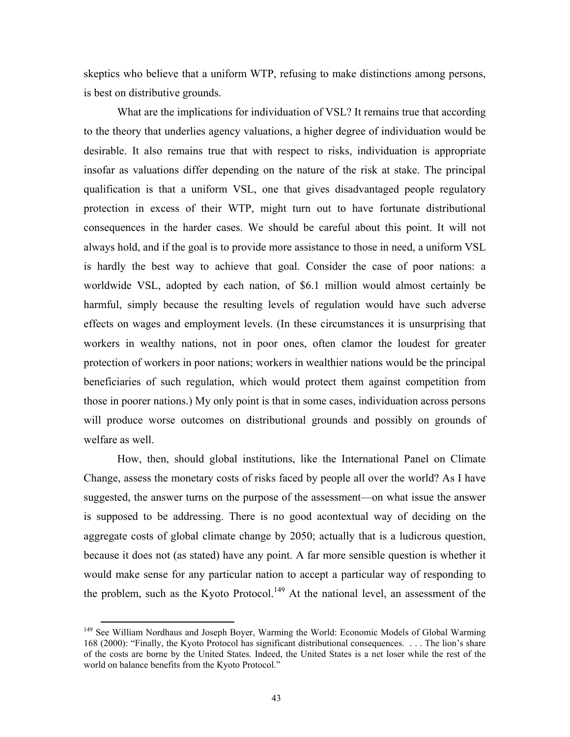skeptics who believe that a uniform WTP, refusing to make distinctions among persons, is best on distributive grounds.

What are the implications for individuation of VSL? It remains true that according to the theory that underlies agency valuations, a higher degree of individuation would be desirable. It also remains true that with respect to risks, individuation is appropriate insofar as valuations differ depending on the nature of the risk at stake. The principal qualification is that a uniform VSL, one that gives disadvantaged people regulatory protection in excess of their WTP, might turn out to have fortunate distributional consequences in the harder cases. We should be careful about this point. It will not always hold, and if the goal is to provide more assistance to those in need, a uniform VSL is hardly the best way to achieve that goal. Consider the case of poor nations: a worldwide VSL, adopted by each nation, of \$6.1 million would almost certainly be harmful, simply because the resulting levels of regulation would have such adverse effects on wages and employment levels. (In these circumstances it is unsurprising that workers in wealthy nations, not in poor ones, often clamor the loudest for greater protection of workers in poor nations; workers in wealthier nations would be the principal beneficiaries of such regulation, which would protect them against competition from those in poorer nations.) My only point is that in some cases, individuation across persons will produce worse outcomes on distributional grounds and possibly on grounds of welfare as well.

the problem, such as the Kyoto Protocol.<sup>149</sup> At the national level, an assessment of the How, then, should global institutions, like the International Panel on Climate Change, assess the monetary costs of risks faced by people all over the world? As I have suggested, the answer turns on the purpose of the assessment—on what issue the answer is supposed to be addressing. There is no good acontextual way of deciding on the aggregate costs of global climate change by 2050; actually that is a ludicrous question, because it does not (as stated) have any point. A far more sensible question is whether it would make sense for any particular nation to accept a particular way of responding to

<span id="page-44-0"></span><sup>&</sup>lt;sup>149</sup> See William Nordhaus and Joseph Boyer, Warming the World: Economic Models of Global Warming 168 (2000): "Finally, the Kyoto Protocol has significant distributional consequences. . . . The lion's share of the costs are borne by the United States. Indeed, the United States is a net loser while the rest of the world on balance benefits from the Kyoto Protocol."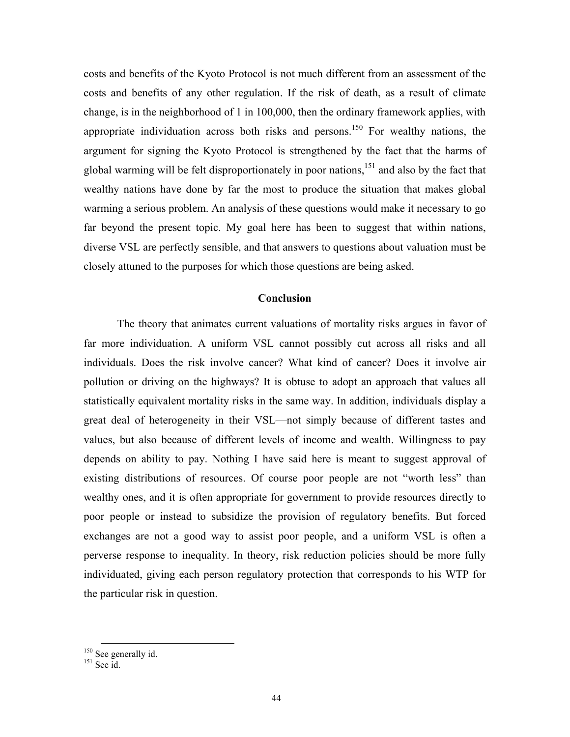costs and benefits of the Kyoto Protocol is not much different from an assessment of the costs and benefits of any other regulation. If the risk of death, as a result of climate change , is in the neighborhood of 1 in 100,000, then the ordinary framework applies, with appropriate individuation across both risks and persons.<sup>[150](#page-45-0)</sup> For wealthy nations, the argument for signing the Kyoto Protocol is strengthened by the fact that the harms of global warming will be felt disproportionately in poor nations,<sup>151</sup> and also by the fact that wealthy nations have done by far the most to produce the situation that makes global warming a serious problem. An analysis of these questions would make it necessary to go far beyond the present topic. My goal here has been to suggest that within nations, diverse VSL are perfectly sensible, and that answers to questions about valuation must be closely attuned to the purposes for which those questions are being asked.

## **Conclusion**

values, but also because of different levels of income and wealth. Willingness to pay depend s on ability to pay. Nothing I have said here is meant to suggest approval of The theory that animates current valuations of mortality risks argues in favor of far more individuation. A uniform VSL cannot possibly cut across all risks and all individuals. Does the risk involve cancer? What kind of cancer? Does it involve air pollution or driving on the highways? It is obtuse to adopt an approach that values all statistically equivalent mortality risks in the same way. In addition, individuals display a great deal of heterogeneity in their VSL—not simply because of different tastes and existing distributions of resources. Of course poor people are not "worth less" than wealthy ones, and it is often appropriate for government to provide resources directly to poor people or instead to subsidize the provision of regulatory benefits. But forced exchanges are not a good way to assist poor people, and a uniform VSL is often a perverse response to inequality. In theory, risk reduction policies should be more fully individuated, giving each person regulatory protection that corresponds to his WTP for the particular risk in question.

<span id="page-45-0"></span> $^{150}$  See generally id.<br> $^{151}$  See id.

<span id="page-45-1"></span>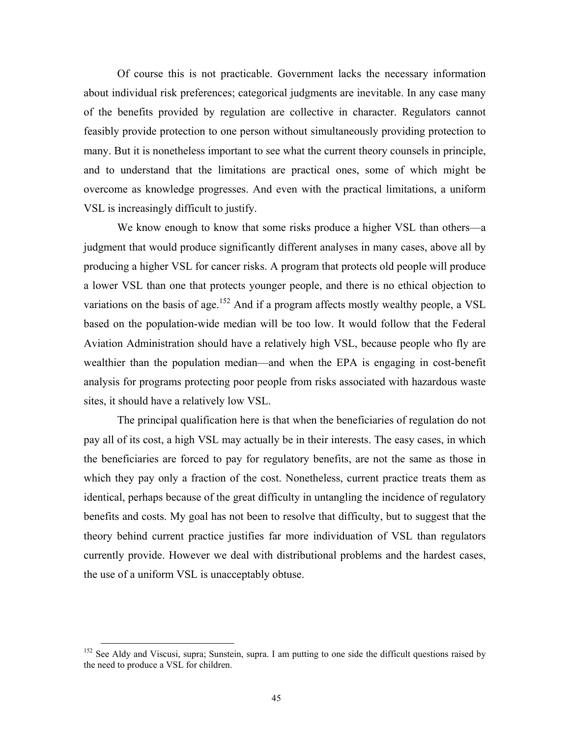Of course this is not practicable. Government lacks the necessary information about individual risk preferences; categorical judgments are inevitable. In any case many of the benefits provided by regulation are collective in character. Regulators cannot feasibly provide protection to one person without simultaneously providing protection to many. But it is nonetheless important to see what the current theory counsels in principle, and to understand that the limitations are practical ones, some of which might be overcome as knowledge progresses. And even with the practical limitations, a uniform VSL is increasingly difficult to justify.

We know enough to know that some risks produce a higher VSL than others—a judgment that would produce significantly different analyses in many cases, above all by producing a higher VSL for cancer risks. A program that protects old people will produce a lower VSL than one that protects younger people, and there is no ethical objection to variations on the basis of age.<sup>[152](#page-46-0)</sup> And if a program affects mostly wealthy people, a VSL based on the population-wide median will be too low. It would follow that the Federal Aviation Administration should have a relatively high VSL, because people who fly are wealthier than the population median—and when the EPA is engaging in cost-benefit analysis for programs protecting poor people from risks associated with hazardous waste sites, it should have a relatively low VSL.

The principal qualification here is that when the beneficiaries of regulation do not pay all of its cost, a high VSL may actually be in their interests. The easy cases, in which the beneficiaries are forced to pay for regulatory benefits, are not the same as those in which they pay only a fraction of the cost. Nonetheless, current practice treats them as identical, perhaps because of the great difficulty in untangling the incidence of regulatory benefits and costs. My goal has not been to resolve that difficulty, but to suggest that the theory behind current practice justifies far more individuation of VSL than regulators currently provide. However we deal with distributional problems and the hardest cases, the use of a uniform VSL is unacceptably obtuse.

<span id="page-46-0"></span> $152$  See Aldy and Viscusi, supra; Sunstein, supra. I am putting to one side the difficult questions raised by the need to produce a VSL for children.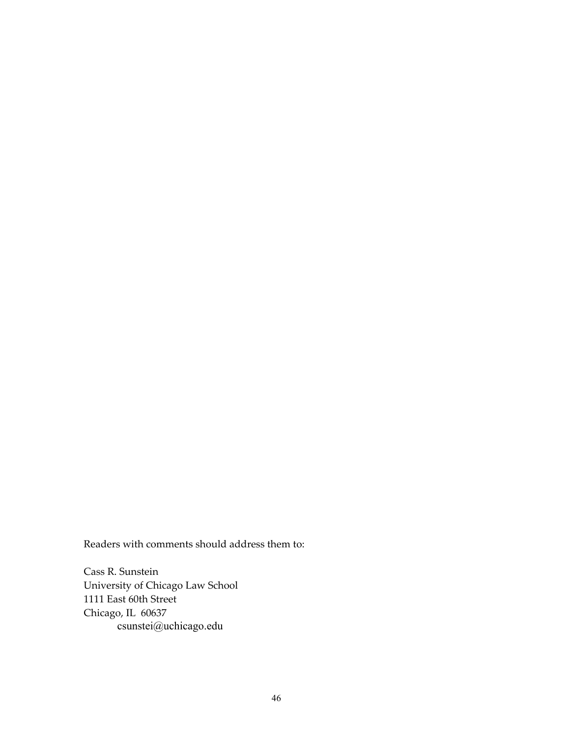Readers with comments should address them to:

University of Chicago Law School 111 East 60th Street 1 hicago, IL 60637 C csunstei@uchicago.edu Cass R. Sunstein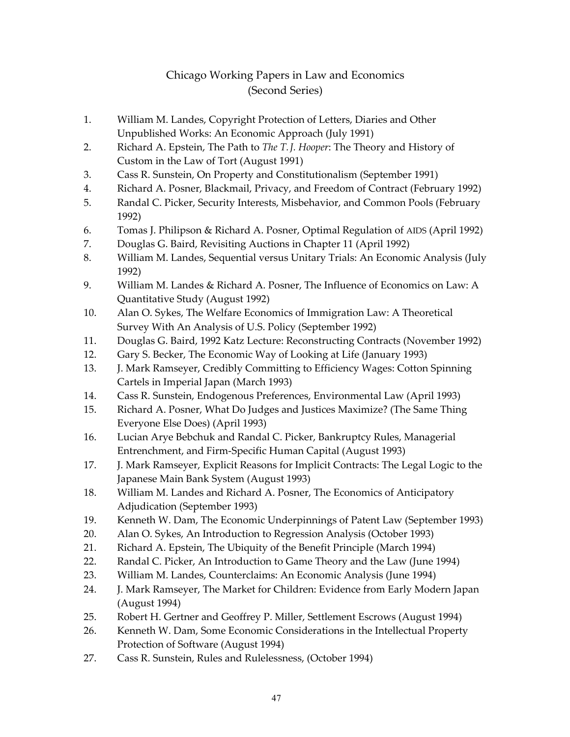# Chicago Working Papers in Law and Economics (Second Series)

- . William M. Landes, Copyright Protection of Letters, Diaries and Other Unpublished Works: An Economic Approach (July 1991) 1
- . Richard A. Epstein, The Path to *The T. J. Hooper*: The Theory and History of Custom in the Law of Tort (August 1991) 2.
- . Cass R. Sunstein, On Property and Constitutionalism (September 1991) 3.
- . Richard A. Posner, Blackmail, Privacy, and Freedom of Contract (February 1992) 4
- . Randal C. Picker, Security Interests, Misbehavior, and Common Pools (February 1992) 5
- . Tomas J. Philipson & Richard A. Posner, Optimal Regulation of AIDS (April 1992) 6
- . Douglas G. Baird, Revisiting Auctions in Chapter 11 (April 1992) 7
- . William M. Landes, Sequential versus Unitary Trials: An Economic Analysis (July 1992) 8.
- . William M. Landes & Richard A. Posner, The Influence of Economics on Law: A Quantitative Study (August 1992) 9
- 0. Alan O. Sykes, The Welfare Economics of Immigration Law: A Theoretical Survey With An Analysis of U.S. Policy (September 1992) 10.
- 1. Douglas G. Baird, 1992 Katz Lecture: Reconstructing Contracts (November 1992) 11.
- 2. Gary S. Becker, The Economic Way of Looking at Life (January 1993) 12.
- 3. J. Mark Ramseyer, Credibly Committing to Efficiency Wages: Cotton Spinning Cartels in Imperial Japan (March 1993) 13.
- 4. Cass R. Sunstein, Endogenous Preferences, Environmental Law (April 1993) 14.
- 5. Richard A. Posner, What Do Judges and Justices Maximize? (The Same Thing Everyone Else Does) (April 1993) 15.
- 6. Lucian Arye Bebchuk and Randal C. Picker, Bankruptcy Rules, Managerial Entrenchment, and Firm-Specific Human Capital (August 1993)  $16.$
- 7. J. Mark Ramseyer, Explicit Reasons for Implicit Contracts: The Legal Logic to the Japanese Main Bank System (August 1993) 17.
- William M. Landes and Richard A. Posner, The Economics of Anticipatory Adjudication (September 1993) 18.
- 9. Kenneth W. Dam, The Economic Underpinnings of Patent Law (September 1993) 19.
- 0. Alan O. Sykes, An Introduction to Regression Analysis (October 1993) 20.
- 21. Richard A. Epstein, The Ubiquity of the Benefit Principle (March 1994)
- 2. Randal C. Picker, An Introduction to Game Theory and the Law (June 1994) 22.
- 23. William M. Landes, Counterclaims: An Economic Analysis (June 1994)
- 24. J. Mark Ramseyer, The Market for Children: Evidence from Early Modern Japan (August 1994)
- 25. Robert H. Gertner and Geoffrey P. Miller, Settlement Escrows (August 1994)
- 26. Kenneth W. Dam, Some Economic Considerations in the Intellectual Property Protection of Software (August 1994)
- 7. Cass R. Sunstein, Rules and Rulelessness, (October 1994) 27.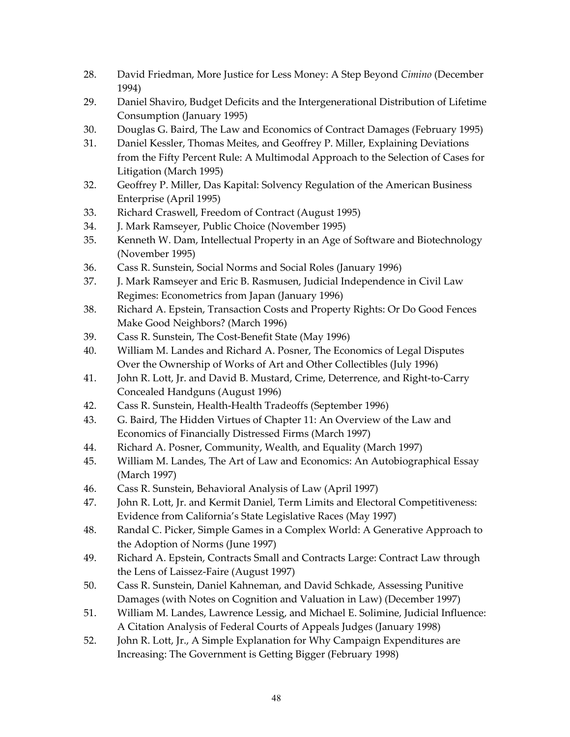- 28. David Friedman, More Justice for Less Money: A Step Beyond *Cimino* (December 1994)
- Daniel Shaviro, Budget Deficits and the Intergenerational Distribution of Lifetime 29. Consumption (January 1995)
- 30. Douglas G. Baird, The Law and Economics of Contract Damages (February 1995)
- 31. Daniel Kessler, Thomas Meites, and Geoffrey P. Miller, Explaining Deviations from the Fifty Percent Rule: A Multimodal Approach to the Selection of Cases for Litigation (March 1995)
- 32. Geoffrey P. Miller, Das Kapital: Solvency Regulation of the American Business Enterprise (April 1995)
- 33. Richard Craswell, Freedom of Contract (August 1995)
- 34. J. Mark Ramseyer, Public Choice (November 1995)
- 35. Kenneth W. Dam, Intellectual Property in an Age of Software and Biotechnology (November 1995)
- 36. Cass R. Sunstein, Social Norms and Social Roles (January 1996)
- Regimes: Econometrics from Japan (January 1996) 37. J. Mark Ramseyer and Eric B. Rasmusen, Judicial Independence in Civil Law
- 38. Richard A. Epstein, Transaction Costs and Property Rights: Or Do Good Fences Make Good Neighbors? (March 1996)
- 39. Cass R. Sunstein, The Cost-Benefit State (May 1996)
- 40. William M. Landes and Richard A. Posner, The Economics of Legal Disputes Over the Ownership of Works of Art and Other Collectibles (July 1996)
- 41. John R. Lott, Jr. and David B. Mustard, Crime, Deterrence, and Right-to-Carry Concealed Handguns (August 1996)
- 42. Cass R. Sunstein, Health-Health Tradeoffs (September 1996)
- 43. G. Baird, The Hidden Virtues of Chapter 11: An Overview of the Law and Economics of Financially Distressed Firms (March 1997)
- 44. Richard A. Posner, Community, Wealth, and Equality (March 1997)
- 45. William M. Landes, The Art of Law and Economics: An Autobiographical Essay (March 1997)
- 46. Cass R. Sunstein, Behavioral Analysis of Law (April 1997)
- 47. John R. Lott, Jr. and Kermit Daniel, Term Limits and Electoral Competitiveness: Evidence from California's State Legislative Races (May 1997)
- 48. Randal C. Picker, Simple Games in a Complex World: A Generative Approach to the Adoption of Norms (June 1997)
- 49. Richard A. Epstein, Contracts Small and Contracts Large: Contract Law through the Lens of Laissez-Faire (August 1997)
- Damages (with Notes on Cognition and Valuation in Law) (December 1997) 50. Cass R. Sunstein, Daniel Kahneman, and David Schkade, Assessing Punitive
- 51. William M. Landes, Lawrence Lessig, and Michael E. Solimine, Judicial Influence: A Citation Analysis of Federal Courts of Appeals Judges (January 1998)
- 52. John R. Lott, Jr., A Simple Explanation for Why Campaign Expenditures are Increasing: The Government is Getting Bigger (February 1998)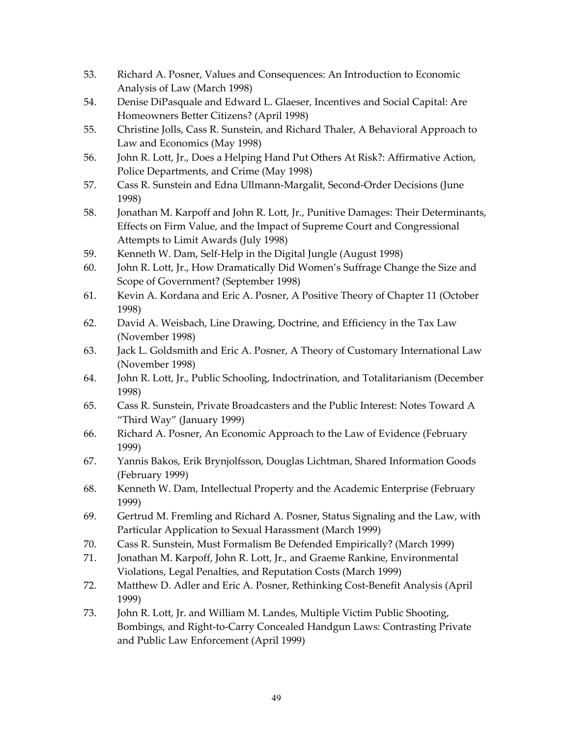- 53. Richard A. Posner, Values and Consequences: An Introduction to Economic Analysis of Law (March 1998)
- (April 1998) Homeowners Better Citizens? 54. Denise DiPasquale and Edward L. Glaeser, Incentives and Social Capital: Are
- 55. Christine Jolls, Cass R. Sunstein, and Richard Thaler, A Behavioral Approach to Law and Economics (May 1998)
- 56. Police Departments, and Crime (May 1998) John R. Lott, Jr., Does a Helping Hand Put Others At Risk?: Affirmative Action,
- 57. Cass R. Sunstein and Edna Ullmann-Margalit, Second-Order Decisions (June 1998)
- 58. Jonathan M. Karpoff and John R. Lott, Jr., Punitive Damages: Their Determinants, Effects on Firm Value, and the Impact of Supreme Court and Congressional Attempts to Limit Awards (July 1998)
- 59. Kenneth W. Dam, Self-Help in the Digital Jungle (August 1998)
- 60. John R. Lott, Jr., How Dramatically Did Women's Suffrage Change the Size and Scope of Government? (September 1998)
- 61. Kevin A. Kordana and Eric A. Posner, A Positive Theory of Chapter 11 (October 1998)
- 62. David A. Weisbach, Line Drawing, Doctrine, and Efficiency in the Tax Law (November 1998)
- 63. Jack L. Goldsmith and Eric A. Posner, A Theory of Customary International Law (November 1998)
- 64. John R. Lott, Jr., Public Schooling, Indoctrination, and Totalitarianism (December 1998)
- 65. Cass R. Sunstein, Private Broadcasters and the Public Interest: Notes Toward A "Third Way" (January 1999)
- 66. Richard A. Posner, An Economic Approach to the Law of Evidence (February 1999)
- ) (February 1999 67. Yannis Bakos, Erik Brynjolfsson, Douglas Lichtman, Shared Information Goods
- 68. Kenneth W. Dam, Intellectual Property and the Academic Enterprise (February 1999)
- 69. Gertrud M. Fremling and Richard A. Posner, Status Signaling and the Law, with Particular Application to Sexual Harassment (March 1999)
- 70. Cass R. Sunstein, Must Formalism Be Defended Empirically? (March 1999)
- Violations, Legal Penalties, and Reputation Costs (March 1999) 71. Jonathan M. Karpoff, John R. Lott, Jr., and Graeme Rankine, Environmental
- 72. Matthew D. Adler and Eric A. Posner, Rethinking Cost-Benefit Analysis (April 1999)
- Bombings, and Right-to-Carry Concealed Handgun Laws: Contrasting Private 73. John R. Lott, Jr. and William M. Landes, Multiple Victim Public Shooting, and Public Law Enforcement (April 1999)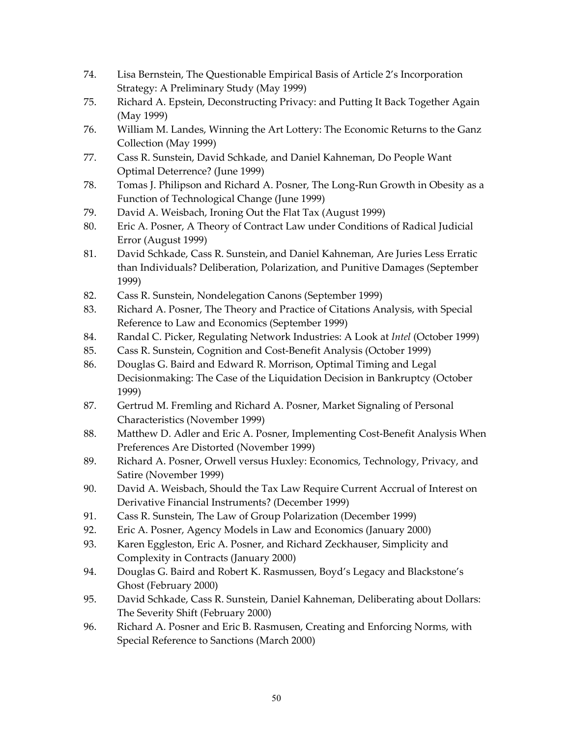- 74. Lisa Bernstein, The Questionable Empirical Basis of Article 2's Incorporation Strategy: A Preliminary Study (May 1999)
- 75. Richard A. Epstein, Deconstructing Privacy: and Putting It Back Together Again (May 1999)
- 76. William M. Landes, Winning the Art Lottery: The Economic Returns to the Ganz Collection (May 1999)
- 77. Cass R. Sunstein, David Schkade, and Daniel Kahneman, Do People Want Optimal Deterrence? (June 1999)
- 78. Tomas J. Philipson and Richard A. Posner, The Long-Run Growth in Obesity as a Function of Technological Change (June 1999)
- 79. David A. Weisbach, Ironing Out the Flat Tax (August 1999)
- 80. Eric A. Posner, A Theory of Contract Law under Conditions of Radical Judicial Error (August 1999)
- 81. David Schkade, Cass R. Sunstein, and Daniel Kahneman, Are Juries Less Erratic than Individuals? Deliberation, Polarization, and Punitive Damages (September 1999)
- 82. Cass R. Sunstein, Nondelegation Canons (September 1999)
- 83. Richard A. Posner, The Theory and Practice of Citations Analysis, with Special Reference to Law and Economics (September 1999)
- 84. Randal C. Picker, Regulating Network Industries: A Look at *Intel* (October 1999)
- 85. Cass R. Sunstein, Cognition and Cost-Benefit Analysis (October 1999)
- 86. Douglas G. Baird and Edward R. Morrison, Optimal Timing and Legal Decisionmaking: The Case of the Liquidation Decision in Bankruptcy (October 1999)
- 99) Characteristics (November 19 87. Gertrud M. Fremling and Richard A. Posner, Market Signaling of Personal
- 88. Matthew D. Adler and Eric A. Posner, Implementing Cost-Benefit Analysis When Preferences Are Distorted (November 1999)
- Satire (November 1999) 89. Richard A. Posner, Orwell versus Huxley: Economics, Technology, Privacy, and
- Derivative Financial Instruments? (December 1999) 90. David A. Weisbach, Should the Tax Law Require Current Accrual of Interest on
- 91. Cass R. Sunstein, The Law of Group Polarization (December 1999)
- 92. Eric A. Posner, Agency Models in Law and Economics (January 2000)
- 93. Karen Eggleston, Eric A. Posner, and Richard Zeckhauser, Simplicity and Complexity in Contracts (January 2000)
- 94. Douglas G. Baird and Robert K. Rasmussen, Boyd's Legacy and Blackstone's Ghost (February 2000)
- 95. David Schkade, Cass R. Sunstein, Daniel Kahneman, Deliberating about Dollars: The Severity Shift (February 2000)
- 96. ) Special Reference to Sanctions (March 2000 Richard A. Posner and Eric B. Rasmusen, Creating and Enforcing Norms, with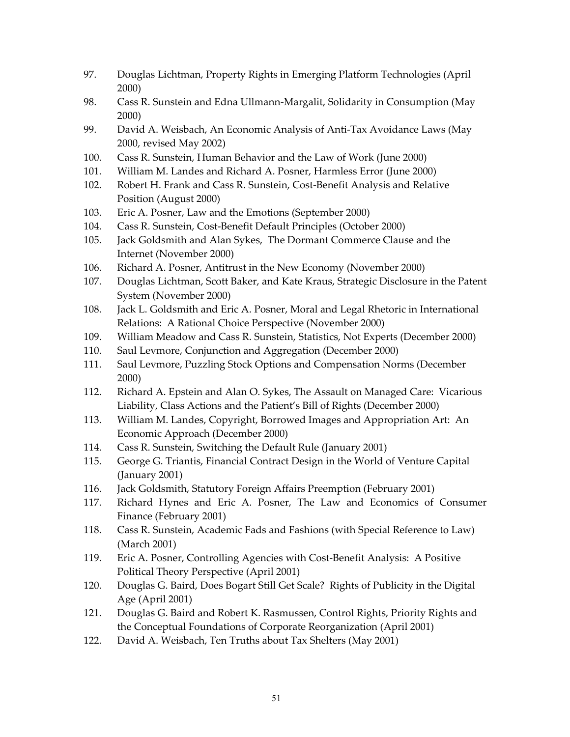- 97. Douglas Lichtman, Property Rights in Emerging Platform Technologies (Apri l 2000)
- 98. Cass R. Sunstein and Edna Ullmann-Margalit, Solidarity in Consumption (May 2000)
- ) 2000, revised May 2002 99. David A. Weisbach, An Economic Analysis of Anti-Tax Avoidance Laws (May
- 100. Cass R. Sunstein, Human Behavior and the Law of Work (June 2000)
- 101. William M. Landes and Richard A. Posner, Harmless Error (June 2000)
- 102. Robert H. Frank and Cass R. Sunstein, Cost-Benefit Analysis and Relative Position (August 2000)
- 103. Eric A. Posner, Law and the Emotions (September 2000)
- 104. Cass R. Sunstein, Cost-Benefit Default Principles (October 2000)
- 105. Jack Goldsmith and Alan Sykes, The Dormant Commerce Clause and the Internet (November 2000)
- 106. Richard A. Posner, Antitrust in the New Economy (November 2000)
- 107. Douglas Lichtman, Scott Baker, and Kate Kraus, Strategic Disclosure in the Patent System (November 2000)
- Relations: A Rational Choice Perspective (November 2000) 108. Jack L. Goldsmith and Eric A. Posner, Moral and Legal Rhetoric in International
- 109. William Meadow and Cass R. Sunstein, Statistics, Not Experts (December 2000)
- 110. Saul Levmore, Conjunction and Aggregation (December 2000)
- 111. Saul Levmore, Puzzling Stock Options and Compensation Norms (December 2000)
- 112. Richard A. Epstein and Alan O. Sykes, The Assault on Managed Care: Vicarious Liability, Class Actions and the Patient's Bill of Rights (December 2000)
- 113. William M. Landes, Copyright, Borrowed Images and Appropriation Art: An Economic Approach (December 2000)
- 114. Cass R. Sunstein, Switching the Default Rule (January 2001)
- 115. George G. Triantis, Financial Contract Design in the World of Venture Capital (January 2001)
- 116. Jack Goldsmith, Statutory Foreign Affairs Preemption (February 2001)
- 117. Richard Hynes and Eric A. Posner, The Law and Economics of Consumer Finance (February 2001)
- 118. Cass R. Sunstein, Academic Fads and Fashions (with Special Reference to Law) (March 2001)
- 119. Eric A. Posner, Controlling Agencies with Cost-Benefit Analysis: A Positive Political Theory Perspective (April 2001)
- 120. Douglas G. Baird, Does Bogart Still Get Scale? Rights of Publicity in the Digital Age (April 2001)
- 121. Douglas G. Baird and Robert K. Rasmussen, Control Rights, Priority Rights and the Conceptual Foundations of Corporate Reorganization (April 2001)
- 122. David A. Weisbach, Ten Truths about Tax Shelters (May 2001)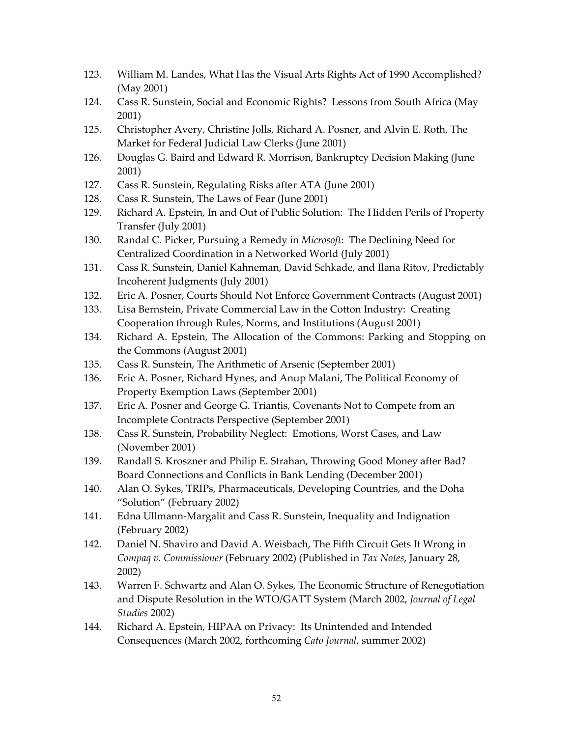- 123. William M. Landes, What Has the Visual Arts Rights Act of 1990 Accomplished ? (May 2 001)
- 124. Cass R. Sunstein, Social and Economic Rights? Lessons from South Africa (May 2001)
- Market for Federal Judicial Law Clerks (June 2001) 125. Christopher Avery, Christine Jolls, Richard A. Posner, and Alvin E. Roth, The
- 126. Douglas G. Baird and Edward R. Morrison, Bankruptcy Decision Making (June 2001)
- 127. Cass R. Sunstein, Regulating Risks after ATA (June 2001)
- 128. Cass R. Sunstein, The Laws of Fear (June 2001)
- 129. Richard A. Epstein, In and Out of Public Solution: The Hidden Perils of Property Transfer (July 2001)
- Centralized Coordination in a Networked World (July 2001) 130. Randal C. Picker, Pursuing a Remedy in *Microsoft*: The Declining Need for
- 131. Cass R. Sunstein, Daniel Kahneman, David Schkade, and Ilana Ritov, Predictably Incoherent Judgments (July 2001)
- 132. Eric A. Posner, Courts Should Not Enforce Government Contracts (August 2001)
- Cooperation through Rules, Norms, and Institutions (August 2001) 133. Lisa Bernstein, Private Commercial Law in the Cotton Industry: Creating
- 134. Richard A. Epstein, The Allocation of the Commons: Parking and Stopping on the Commons (August 2001)
- 135. Cass R. Sunstein, The Arithmetic of Arsenic (September 2001)
- 136. Eric A. Posner, Richard Hynes, and Anup Malani, The Political Economy of Property Exemption Laws (September 2001)
- 137. Eric A. Posner and George G. Triantis, Covenants Not to Compete from an Incomplete Contracts Perspective (September 2001)
- 138. Cass R. Sunstein, Probability Neglect: Emotions, Worst Cases, and Law (November 2001)
- Board Connections and Conflicts in Bank Lending (December 2001) 139. Randall S. Kroszner and Philip E. Strahan, Throwing Good Money after Bad?
- 140. Alan O. Sykes, TRIPs, Pharmaceuticals, Developing Countries, and the Doha "Solution" (February 2002)
- 141. Edna Ullmann-Margalit and Cass R. Sunstein, Inequality and Indignation  $\,$ (February 2002)
- 142. Daniel N. Shaviro and David A. Weisbach, The Fifth Circuit Gets It Wrong in *Compaq v. Commissioner* (February 2002) (Published in *Tax Notes*, January 28, 2002)
- and Dispute Resolution in the WTO/GATT System (March 2002*, Journal of Legal* 143. Warren F. Schwartz and Alan O. Sykes, The Economic Structure of Renegotiation *Studies* 2002)
- 144. Consequences (March 2002, forthcoming *Cato Journal*, summer 2002) Richard A. Epstein, HIPAA on Privacy: Its Unintended and Intended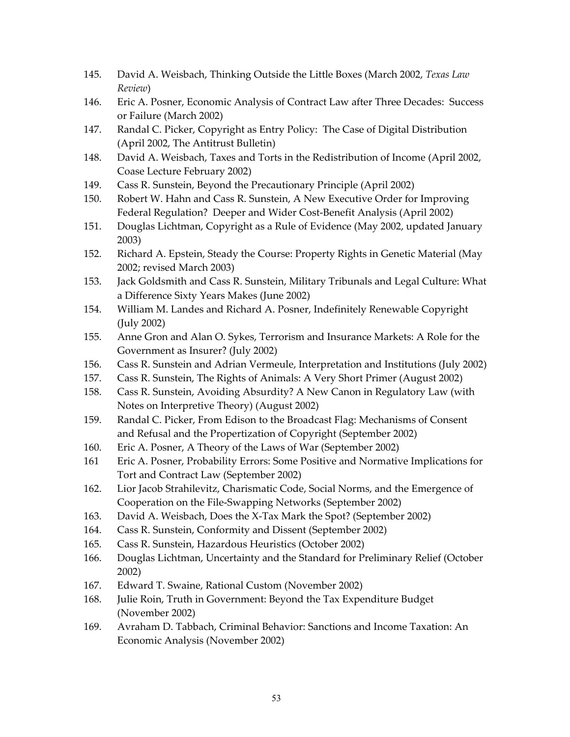- 145. David A. Weisbach, Thinking Outside the Little Boxes (March 2002, *Texas Law Review*)
- 146. Eric A. Posner, Economic Analysis of Contract Law after Three Decades: Success or Failure (March 2002)
- 147. Randal C. Picker, Copyright as Entry Policy: The Case of Digital Distribution (April 2002, The Antitrust Bulletin)
- , 148. David A. Weisbach, Taxes and Torts in the Redistribution of Income (April 2002 Coase Lecture February 2002)
- 149. Cass R. Sunstein, Beyond the Precautionary Principle (April 2002)
- 150. Robert W. Hahn and Cass R. Sunstein, A New Executive Order for Improving Federal Regulation? Deeper and Wider Cost-Benefit Analysis (April 2002)
- 151. Douglas Lichtman, Copyright as a Rule of Evidence (May 2002, updated January 2003)
- 152. Richard A. Epstein, Steady the Course: Property Rights in Genetic Material (May 2002; revised March 2003)
- 153. Jack Goldsmith and Cass R. Sunstein, Military Tribunals and Legal Culture: What a Difference Sixty Years Makes (June 2002)
- 154. William M. Landes and Richard A. Posner, Indefinitely Renewable Copyright (July 2002)
- 2002) Government as Insurer? (July 155. Anne Gron and Alan O. Sykes, Terrorism and Insurance Markets: A Role for the
- 156. Cass R. Sunstein and Adrian Vermeule, Interpretation and Institutions (July 2002)
- 157. Cass R. Sunstein, The Rights of Animals: A Very Short Primer (August 2002)
- 158. Cass R. Sunstein, Avoiding Absurdity? A New Canon in Regulatory Law (with Notes on Interpretive Theory) (August 2002)
- 159. Randal C. Picker, From Edison to the Broadcast Flag: Mechanisms of Consent and Refusal and the Propertization of Copyright (September 2002)
- 160. Eric A. Posner, A Theory of the Laws of War (September 2002)
- 161 Eric A. Posner, Probability Errors: Some Positive and Normative Implications for Tort and Contract Law (September 2002)
- 162. Lior Jacob Strahilevitz, Charismatic Code, Social Norms, and the Emergence of Cooperation on the File-Swapping Networks (September 2002)
- 163. David A. Weisbach, Does the X-Tax Mark the Spot? (September 2002)
- 164. Cass R. Sunstein, Conformity and Dissent (September 2002)
- 165. Cass R. Sunstein, Hazardous Heuristics (October 2002)
- 166. Douglas Lichtman, Uncertainty and the Standard for Preliminary Relief (October 2002)
- 167. Edward T. Swaine, Rational Custom (November 2002)
- 168. (November 2002) Julie Roin, Truth in Government: Beyond the Tax Expenditure Budget
- 169. Avraham D. Tabbach, Criminal Behavior: Sanctions and Income Taxation: An Economic Analysis (November 2002)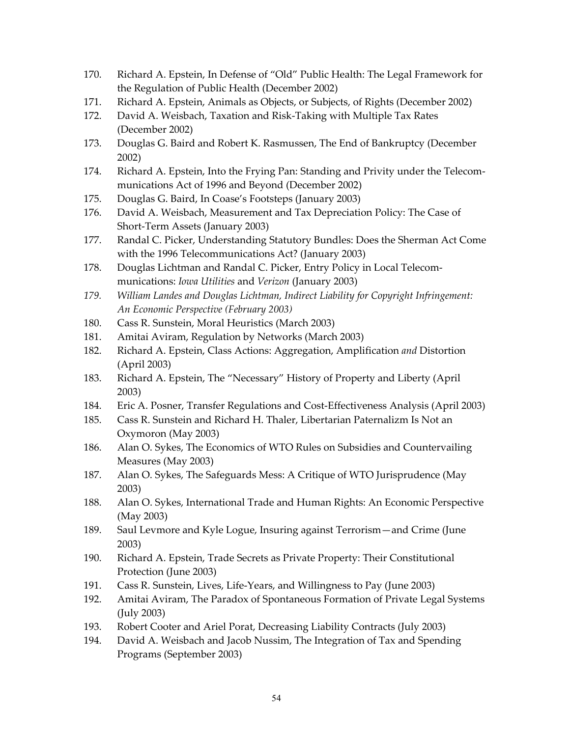- 170. Richard A. Epstein, In Defense of "Old" Public Health: The Legal Framework fo r the Regu lation of Public Health (December 2002)
- 171. Richard A. Epstein, Animals as Objects, or Subjects, of Rights (December 2002)
- 172. David A. Weisbach, Taxation and Risk-Taking with Multiple Tax Rates (December 2002)
- 173. Douglas G. Baird and Robert K. Rasmussen, The End of Bankruptcy (December 2002)
- 174. Richard A. Epstein, Into the Frying Pan: Standing and Privity under the Telecommunications Act of 1996 and Beyond (December 2002)
- 175. Douglas G. Baird, In Coase's Footsteps (January 2003)
- 176. David A. Weisbach, Measurement and Tax Depreciation Policy: The Case of Short-Term Assets (January 2003)
- 177. Randal C. Picker, Understanding Statutory Bundles: Does the Sherman Act Come with the 1996 Telecommunications Act? (January 2003)
- 178. Douglas Lichtman and Randal C. Picker, Entry Policy in Local Telecommunications: *Iowa Utilities* and *Verizon* (January 2003)
- *179. Liability for Copyright Infringement: William Landes and Douglas Lichtman, Indirect An Economic Perspective (February 2003)*
- 180. Cass R. Sunstein, Moral Heuristics (March 2003)
- 181. Amitai Aviram, Regulation by Networks (March 2003)
- 182. Richard A. Epstein, Class Actions: Aggregation, Amplification *and* Distortion (April 2003)
- 183. Richard A. Epstein, The "Necessary" History of Property and Liberty (April 2003)
- 184. Eric A. Posner, Transfer Regulations and Cost-Effectiveness Analysis (April 2003)
- 185. Cass R. Sunstein and Richard H. Thaler, Libertarian Paternalizm Is Not an Oxymoron (May 2003)
- 186. Alan O. Sykes, The Economics of WTO Rules on Subsidies and Countervailing Measures (May 2003)
- 187. Alan O. Sykes, The Safeguards Mess: A Critique of WTO Jurisprudence (May 2003)
- 188. Alan O. Sykes, International Trade and Human Rights: An Economic Perspective (May 2003)
- 189. Saul Levmore and Kyle Logue, Insuring against Terrorism—and Crime (June 2003)
- Protection (June 2003) 190. Richard A. Epstein, Trade Secrets as Private Property: Their Constitutional
- 191. Cass R. Sunstein, Lives, Life-Years, and Willingness to Pay (June 2003)
- 192. Amitai Aviram, The Paradox of Spontaneous Formation of Private Legal Systems (July 2003)
- 193. Robert Cooter and Ariel Porat, Decreasing Liability Contracts (July 2003)
- 194. David A. Weisbach and Jacob Nussim, The Integration of Tax and Spending Programs (September 2003)